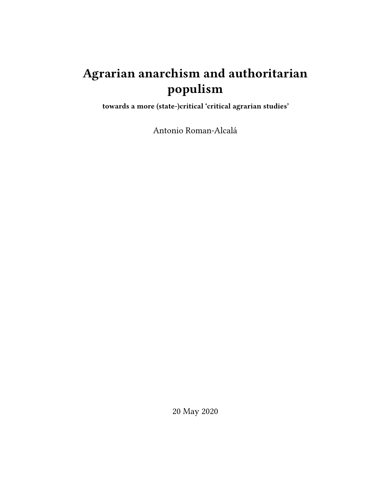# **Agrarian anarchism and authoritarian populism**

**towards a more (state-)critical 'critical agrarian studies'**

Antonio Roman-Alcalá

20 May 2020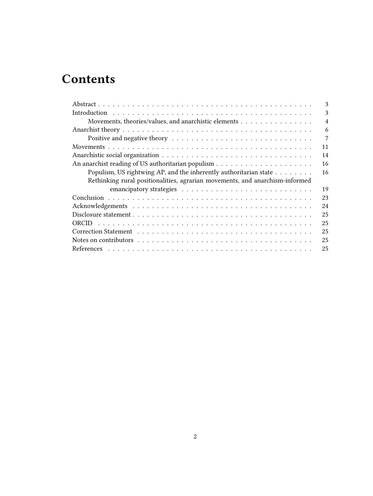# **Contents**

|                                                                              | 3  |
|------------------------------------------------------------------------------|----|
|                                                                              | 3  |
| Movements, theories/values, and anarchistic elements                         | 4  |
|                                                                              | 6  |
|                                                                              | 7  |
|                                                                              | 11 |
|                                                                              | 14 |
|                                                                              | 16 |
| Populism, US rightwing AP, and the inherently authoritarian state            | 16 |
|                                                                              |    |
| Rethinking rural positionalities, agrarian movements, and anarchism-informed |    |
|                                                                              | 19 |
|                                                                              | 23 |
|                                                                              | 24 |
|                                                                              | 25 |
|                                                                              | 25 |
|                                                                              | 25 |
|                                                                              | 25 |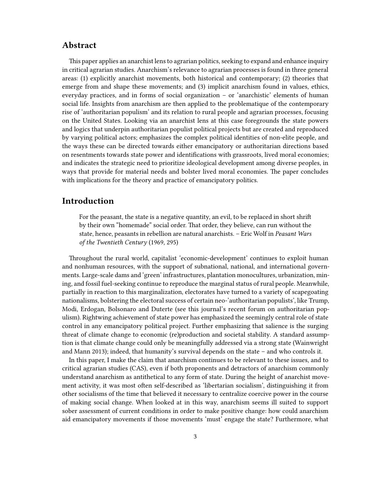# <span id="page-2-0"></span>**Abstract**

This paper applies an anarchist lens to agrarian politics, seeking to expand and enhance inquiry in critical agrarian studies. Anarchism's relevance to agrarian processes is found in three general areas: (1) explicitly anarchist movements, both historical and contemporary; (2) theories that emerge from and shape these movements; and (3) implicit anarchism found in values, ethics, everyday practices, and in forms of social organization – or 'anarchistic' elements of human social life. Insights from anarchism are then applied to the problematique of the contemporary rise of 'authoritarian populism' and its relation to rural people and agrarian processes, focusing on the United States. Looking via an anarchist lens at this case foregrounds the state powers and logics that underpin authoritarian populist political projects but are created and reproduced by varying political actors; emphasizes the complex political identities of non-elite people, and the ways these can be directed towards either emancipatory or authoritarian directions based on resentments towards state power and identifications with grassroots, lived moral economies; and indicates the strategic need to prioritize ideological development among diverse peoples, in ways that provide for material needs and bolster lived moral economies. The paper concludes with implications for the theory and practice of emancipatory politics.

# <span id="page-2-1"></span>**Introduction**

For the peasant, the state is a negative quantity, an evil, to be replaced in short shrift by their own "homemade" social order. That order, they believe, can run without the state, hence, peasants in rebellion are natural anarchists. – Eric Wolf in *Peasant Wars of the Twentieth Century* (1969, 295)

Throughout the rural world, capitalist 'economic-development' continues to exploit human and nonhuman resources, with the support of subnational, national, and international governments. Large-scale dams and 'green' infrastructures, plantation monocultures, urbanization, mining, and fossil fuel-seeking continue to reproduce the marginal status of rural people. Meanwhile, partially in reaction to this marginalization, electorates have turned to a variety of scapegoating nationalisms, bolstering the electoral success of certain neo-'authoritarian populists', like Trump, Modi, Erdogan, Bolsonaro and Duterte (see this journal's recent forum on authoritarian populism). Rightwing achievement of state power has emphasized the seemingly central role of state control in any emancipatory political project. Further emphasizing that salience is the surging threat of climate change to economic (re)production and societal stability. A standard assumption is that climate change could only be meaningfully addressed via a strong state (Wainwright and Mann 2013); indeed, that humanity's survival depends on the state – and who controls it.

In this paper, I make the claim that anarchism continues to be relevant to these issues, and to critical agrarian studies (CAS), even if both proponents and detractors of anarchism commonly understand anarchism as antithetical to any form of state. During the height of anarchist movement activity, it was most often self-described as 'libertarian socialism', distinguishing it from other socialisms of the time that believed it necessary to centralize coercive power in the course of making social change. When looked at in this way, anarchism seems ill suited to support sober assessment of current conditions in order to make positive change: how could anarchism aid emancipatory movements if those movements 'must' engage the state? Furthermore, what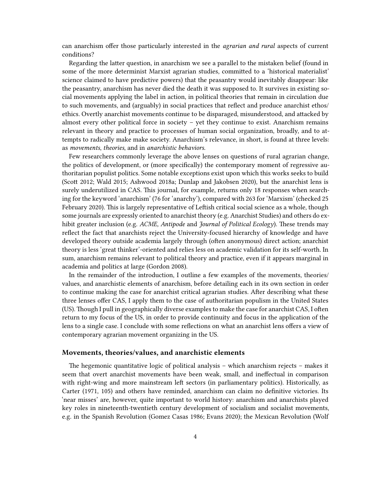can anarchism offer those particularly interested in the *agrarian and rural* aspects of current conditions?

Regarding the latter question, in anarchism we see a parallel to the mistaken belief (found in some of the more determinist Marxist agrarian studies, committed to a 'historical materialist' science claimed to have predictive powers) that the peasantry would inevitably disappear: like the peasantry, anarchism has never died the death it was supposed to. It survives in existing social movements applying the label in action, in political theories that remain in circulation due to such movements, and (arguably) in social practices that reflect and produce anarchist ethos/ ethics. Overtly anarchist movements continue to be disparaged, misunderstood, and attacked by almost every other political force in society – yet they continue to exist. Anarchism remains relevant in theory and practice to processes of human social organization, broadly, and to attempts to radically make make society. Anarchism's relevance, in short, is found at three levels: as *movements*, *theories*, and in *anarchistic behaviors*.

Few researchers commonly leverage the above lenses on questions of rural agrarian change, the politics of development, or (more specifically) the contemporary moment of regressive authoritarian populist politics. Some notable exceptions exist upon which this works seeks to build (Scott 2012; Wald 2015; Ashwood 2018a; Dunlap and Jakobsen 2020), but the anarchist lens is surely underutilized in CAS. This journal, for example, returns only 18 responses when searching for the keyword 'anarchism' (76 for 'anarchy'), compared with 263 for 'Marxism' (checked 25 February 2020). This is largely representative of Leftish critical social science as a whole, though some journals are expressly oriented to anarchist theory (e.g. Anarchist Studies) and others do exhibit greater inclusion (e.g. *ACME, Antipode* and *Journal of Political Ecology*). These trends may reflect the fact that anarchists reject the University-focused hierarchy of knowledge and have developed theory outside academia largely through (often anonymous) direct action; anarchist theory is less 'great thinker'-oriented and relies less on academic validation for its self-worth. In sum, anarchism remains relevant to political theory and practice, even if it appears marginal in academia and politics at large (Gordon 2008).

In the remainder of the introduction, I outline a few examples of the movements, theories/ values, and anarchistic elements of anarchism, before detailing each in its own section in order to continue making the case for anarchist critical agrarian studies. After describing what these three lenses offer CAS, I apply them to the case of authoritarian populism in the United States (US). Though I pull in geographically diverse examples to make the case for anarchist CAS, I often return to my focus of the US, in order to provide continuity and focus in the application of the lens to a single case. I conclude with some reflections on what an anarchist lens offers a view of contemporary agrarian movement organizing in the US.

#### <span id="page-3-0"></span>**Movements, theories/values, and anarchistic elements**

The hegemonic quantitative logic of political analysis – which anarchism rejects – makes it seem that overt anarchist movements have been weak, small, and ineffectual in comparison with right-wing and more mainstream left sectors (in parliamentary politics). Historically, as Carter (1971, 105) and others have reminded, anarchism can claim no definitive victories. Its 'near misses' are, however, quite important to world history: anarchism and anarchists played key roles in nineteenth-twentieth century development of socialism and socialist movements, e.g. in the Spanish Revolution (Gomez Casas 1986; Evans 2020); the Mexican Revolution (Wolf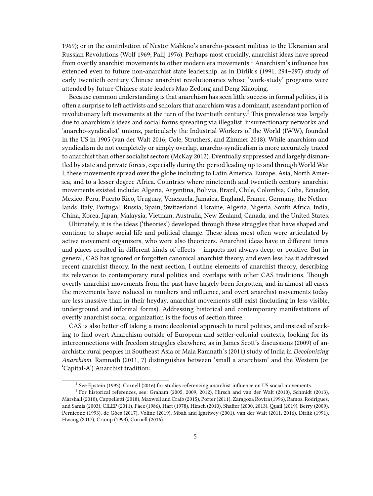1969); or in the contribution of Nestor Mahkno's anarcho-peasant militias to the Ukrainian and Russian Revolutions (Wolf 1969; Palij 1976). Perhaps most crucially, anarchist ideas have spread from overtly anarchist movements to other modern era movements.<sup>1</sup> Anarchism's influence has extended even to future non-anarchist state leadership, as in Dirlik's (1991, 294–297) study of early twentieth century Chinese anarchist revolutionaries whose 'work-study' programs were attended by future Chinese state leaders Mao Zedong and Deng Xiaoping.

Because common understanding is that anarchism has seen little success in formal politics, it is often a surprise to left activists and scholars that anarchism was a dominant, ascendant portion of revolutionary left movements at the turn of the twentieth century.<sup>2</sup> This prevalence was largely due to anarchism's ideas and social forms spreading via illegalist, insurrectionary networks and 'anarcho-syndicalist' unions, particularly the Industrial Workers of the World (IWW), founded in the US in 1905 (van der Walt 2016; Cole, Struthers, and Zimmer 2018). While anarchism and syndicalism do not completely or simply overlap, anarcho-syndicalism is more accurately traced to anarchist than other socialist sectors (McKay 2012). Eventually suppressed and largely dismantled by state and private forces, especially during the period leading up to and through World War I, these movements spread over the globe including to Latin America, Europe, Asia, North America, and to a lesser degree Africa. Countries where nineteenth and twentieth century anarchist movements existed include: Algeria, Argentina, Bolivia, Brazil, Chile, Colombia, Cuba, Ecuador, Mexico, Peru, Puerto Rico, Uruguay, Venezuela, Jamaica, England, France, Germany, the Netherlands, Italy, Portugal, Russia, Spain, Switzerland, Ukraine, Algeria, Nigeria, South Africa, India, China, Korea, Japan, Malaysia, Vietnam, Australia, New Zealand, Canada, and the United States.

Ultimately, it is the ideas ('theories') developed through these struggles that have shaped and continue to shape social life and political change. These ideas most often were articulated by active movement organizers, who were also theorizers. Anarchist ideas have in different times and places resulted in different kinds of effects – impacts not always deep, or positive. But in general, CAS has ignored or forgotten canonical anarchist theory, and even less has it addressed recent anarchist theory. In the next section, I outline elements of anarchist theory, describing its relevance to contemporary rural politics and overlaps with other CAS traditions. Though overtly anarchist movements from the past have largely been forgotten, and in almost all cases the movements have reduced in numbers and influence, and overt anarchist movements today are less massive than in their heyday, anarchist movements still exist (including in less visible, underground and informal forms). Addressing historical and contemporary manifestations of overtly anarchist social organization is the focus of section three.

CAS is also better off taking a more decolonial approach to rural politics, and instead of seeking to find overt Anarchism outside of European and settler-colonial contexts, looking for its interconnections with freedom struggles elsewhere, as in James Scott's discussions (2009) of anarchistic rural peoples in Southeast Asia or Maia Ramnath's (2011) study of India in *Decolonizing Anarchism*. Ramnath (2011, 7) distinguishes between 'small a anarchism' and the Western (or 'Capital-A') Anarchist tradition:

<sup>&</sup>lt;sup>1</sup> See Epstein (1993), Cornell (2016) for studies referencing anarchist influence on US social movements.

<sup>2</sup> For historical references, see: Graham (2005, 2009, 2012), Hirsch and van der Walt (2010), Schmidt (2013), Marshall (2010), Cappelletti (2018), Maxwell and Craib (2015), Porter (2011), Zaragoza Rovira (1996), Ramos, Rodrigues, and Samis (2003), CILEP (2011), Páez (1986), Hart (1978), Hirsch (2010), Shaffer (2000, 2013), Quail (2019), Berry (2009), Pernicone (1993), de Góes (2017), Voline (2019), Mbah and Igariwey (2001), van der Walt (2011, 2016), Dirlik (1991), Hwang (2017), Crump (1993), Cornell (2016).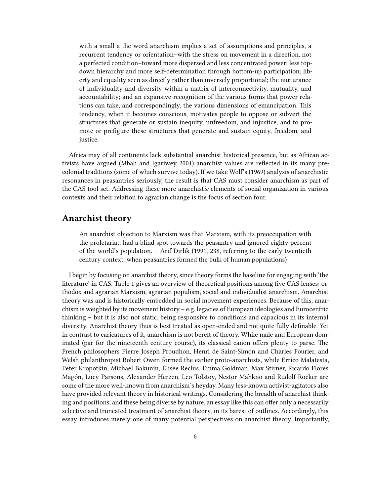with a small a the word anarchism implies a set of assumptions and principles, a recurrent tendency or orientation–with the stress on movement in a direction, not a perfected condition–toward more dispersed and less concentrated power; less topdown hierarchy and more self-determination through bottom-up participation; liberty and equality seen as directly rather than inversely proportional; the nurturance of individuality and diversity within a matrix of interconnectivity, mutuality, and accountability; and an expansive recognition of the various forms that power relations can take, and correspondingly, the various dimensions of emancipation. This tendency, when it becomes conscious, motivates people to oppose or subvert the structures that generate or sustain inequity, unfreedom, and injustice, and to promote or prefigure these structures that generate and sustain equity, freedom, and justice.

Africa may of all continents lack substantial anarchist historical presence, but as African activists have argued (Mbah and Igariwey 2001) anarchist values are reflected in its many precolonial traditions (some of which survive today). If we take Wolf's (1969) analysis of anarchistic resonances in peasantries seriously, the result is that CAS must consider anarchism as part of the CAS tool set. Addressing these more anarchist*ic* elements of social organization in various contexts and their relation to agrarian change is the focus of section four.

## <span id="page-5-0"></span>**Anarchist theory**

An anarchist objection to Marxism was that Marxism, with its preoccupation with the proletariat, had a blind spot towards the peasantry and ignored eighty percent of the world's population. – Arif Dirlik (1991, 238, referring to the early twentieth century context, when peasantries formed the bulk of human populations)

I begin by focusing on anarchist theory, since theory forms the baseline for engaging with 'the literature' in CAS. Table 1 gives an overview of theoretical positions among five CAS lenses: orthodox and agrarian Marxism, agrarian populism, social and individualist anarchism. Anarchist theory was and is historically embedded in social movement experiences. Because of this, anarchism is weighted by its movement history – e.g. legacies of European ideologies and Eurocentric thinking – but it is also not static, being responsive to conditions and capacious in its internal diversity. Anarchist theory thus is best treated as open-ended and not quite fully definable. Yet in contrast to caricatures of it, anarchism is not bereft of theory. While male and European dominated (par for the nineteenth century course), its classical canon offers plenty to parse. The French philosophers Pierre Joseph Proudhon, Henri de Saint-Simon and Charles Fourier, and Welsh philanthropist Robert Owen formed the earlier proto-anarchists, while Errico Malatesta, Peter Kropotkin, Michael Bakunin, Élisée Reclus, Emma Goldman, Max Stirner, Ricardo Flores Magón, Lucy Parsons, Alexander Herzen, Leo Tolstoy, Nestor Mahkno and Rudolf Rocker are some of the more well-known from anarchism's heyday. Many less-known activist-agitators also have provided relevant theory in historical writings. Considering the breadth of anarchist thinking and positions, and these being diverse by nature, an essay like this can offer only a necessarily selective and truncated treatment of anarchist theory, in its barest of outlines. Accordingly, this essay introduces merely one of many potential perspectives on anarchist theory. Importantly,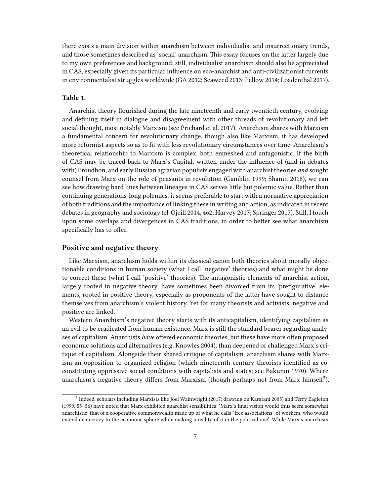there exists a main division within anarchism between individualist and insurrectionary trends, and those sometimes described as 'social' anarchism. This essay focuses on the latter largely due to my own preferences and background; still, individualist anarchism should also be appreciated in CAS, especially given its particular influence on eco-anarchist and anti-civilizationist currents in environmentalist struggles worldwide (GA 2012; Seaweed 2013; Pellow 2014; Loadenthal 2017).

#### **Table 1.**

Anarchist theory flourished during the late nineteenth and early twentieth century, evolving and defining itself in dialogue and disagreement with other threads of revolutionary and left social thought, most notably Marxism (see Prichard et al. 2017). Anarchism shares with Marxism a fundamental concern for revolutionary change, though also like Marxism, it has developed more reformist aspects so as to fit with less revolutionary circumstances over time. Anarchism's theoretical relationship to Marxism is complex, both enmeshed and antagonistic. If the birth of CAS may be traced back to Marx's Capital, written under the influence of (and in debates with) Proudhon, and early Russian agrarian populists engaged with anarchist theories *and* sought counsel from Marx on the role of peasants in revolution (Gamblin 1999; Shanin 2018), we can see how drawing hard lines between lineages in CAS serves little but polemic value. Rather than continuing generations-long polemics, it seems preferable to start with a normative appreciation of both traditions and the importance of linking these in writing and action, as indicated in recent debates in geography and sociology (el-Ojeili 2014, 462; Harvey 2017; Springer 2017). Still, I touch upon some overlaps and divergences in CAS traditions, in order to better see what anarchism specifically has to offer.

#### <span id="page-6-0"></span>**Positive and negative theory**

Like Marxism, anarchism holds within its classical canon both theories about morally objectionable conditions in human society (what I call 'negative' theories) and what might be done to correct these (what I call 'positive' theories). The antagonistic elements of anarchist action, largely rooted in negative theory, have sometimes been divorced from its 'prefigurative' elements, rooted in positive theory, especially as proponents of the latter have sought to distance themselves from anarchism's violent history. Yet for many theorists and activists, negative and positive are linked.

Western Anarchism's negative theory starts with its anticapitalism, identifying capitalism as an evil to be eradicated from human existence. Marx is still the standard bearer regarding analyses of capitalism. Anarchists *have* offered economic theories, but these have more often proposed economic solutions and alternatives (e.g. Knowles 2004), than deepened or challenged Marx's critique of capitalism. Alongside their shared critique of capitalism, anarchism shares with Marxism an opposition to organized religion (which nineteenth century theorists identified as coconstituting oppressive social conditions with capitalists and states; see Bakunin 1970). Where anarchism's negative theory differs from Marxism (though perhaps not from Marx himself<sup>3</sup>),

 $^3$  Indeed, scholars including Marxists like Joel Wainwright (2017; drawing on Karatani 2005) and Terry Eagleton (1999, 55–56) have noted that Marx exhibited anarchist sensibilities: 'Marx's final vision would thus seem somewhat anarchistic: that of a cooperative commonwealth made up of what he calls "free associations" of workers, who would extend democracy to the economic sphere while making a reality of it in the political one'. While Marx's anarchism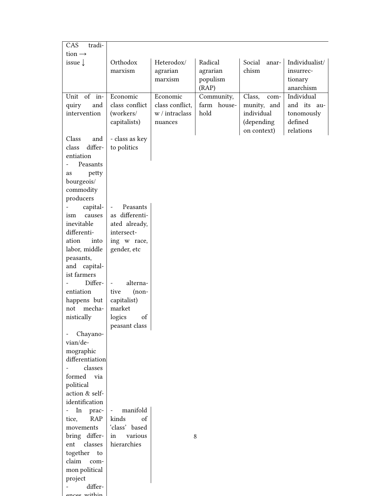| tradi-<br>CAS                                                                                       |                                          |                                   |                                          |                          |                                                     |
|-----------------------------------------------------------------------------------------------------|------------------------------------------|-----------------------------------|------------------------------------------|--------------------------|-----------------------------------------------------|
| tion $\rightarrow$                                                                                  |                                          |                                   |                                          |                          |                                                     |
| issue $\downarrow$                                                                                  | Orthodox<br>marxism                      | Heterodox/<br>agrarian<br>marxism | Radical<br>agrarian<br>populism<br>(RAP) | Social<br>anar-<br>chism | Individualist/<br>insurrec-<br>tionary<br>anarchism |
| Unit of in-                                                                                         | Economic                                 | Economic                          | Community,                               | Class,<br>com-           | Individual                                          |
| quiry<br>and                                                                                        | class conflict                           | class conflict,                   | farm house-                              | munity, and              | and its au-                                         |
| intervention                                                                                        | (workers/                                | $\le$ / intraclass                | hold                                     | individual               | tonomously                                          |
|                                                                                                     | capitalists)                             | nuances                           |                                          | (depending               | defined                                             |
|                                                                                                     |                                          |                                   |                                          | on context)              | relations                                           |
| Class<br>and<br>differ-<br>class<br>entiation<br>Peasants<br>petty<br>as<br>bourgeois/<br>commodity | - class as key<br>to politics            |                                   |                                          |                          |                                                     |
| producers                                                                                           |                                          |                                   |                                          |                          |                                                     |
| capital-                                                                                            | Peasants                                 |                                   |                                          |                          |                                                     |
| ism<br>causes                                                                                       | as differenti-                           |                                   |                                          |                          |                                                     |
| inevitable                                                                                          | ated already,                            |                                   |                                          |                          |                                                     |
| differenti-                                                                                         | intersect-                               |                                   |                                          |                          |                                                     |
| ation<br>into                                                                                       | ing w race,                              |                                   |                                          |                          |                                                     |
| labor, middle                                                                                       | gender, etc                              |                                   |                                          |                          |                                                     |
| peasants,                                                                                           |                                          |                                   |                                          |                          |                                                     |
| and capital-                                                                                        |                                          |                                   |                                          |                          |                                                     |
| ist farmers                                                                                         |                                          |                                   |                                          |                          |                                                     |
| Differ-                                                                                             | alterna-<br>$\qquad \qquad \blacksquare$ |                                   |                                          |                          |                                                     |
| entiation                                                                                           | tive<br>$(non-$                          |                                   |                                          |                          |                                                     |
| happens but                                                                                         | capitalist)                              |                                   |                                          |                          |                                                     |
| mecha-<br>not                                                                                       | market                                   |                                   |                                          |                          |                                                     |
| nistically                                                                                          | of<br>logics                             |                                   |                                          |                          |                                                     |
|                                                                                                     | peasant class                            |                                   |                                          |                          |                                                     |
| Chayano-<br>vian/de-                                                                                |                                          |                                   |                                          |                          |                                                     |
| mographic                                                                                           |                                          |                                   |                                          |                          |                                                     |
| differentiation                                                                                     |                                          |                                   |                                          |                          |                                                     |
| classes                                                                                             |                                          |                                   |                                          |                          |                                                     |
| formed<br>via                                                                                       |                                          |                                   |                                          |                          |                                                     |
| political                                                                                           |                                          |                                   |                                          |                          |                                                     |
| action & self-                                                                                      |                                          |                                   |                                          |                          |                                                     |
| identification                                                                                      |                                          |                                   |                                          |                          |                                                     |
| In<br>prac-<br>$\overline{\phantom{0}}$                                                             | manifold                                 |                                   |                                          |                          |                                                     |
| RAP<br>tice,                                                                                        | of<br>kinds                              |                                   |                                          |                          |                                                     |
| movements                                                                                           | 'class' based                            |                                   |                                          |                          |                                                     |
| bring differ-                                                                                       | various<br>in                            |                                   | 8                                        |                          |                                                     |
| classes<br>$_{\rm ent}$                                                                             | hierarchies                              |                                   |                                          |                          |                                                     |
| together<br>to                                                                                      |                                          |                                   |                                          |                          |                                                     |
| claim<br>com-                                                                                       |                                          |                                   |                                          |                          |                                                     |
| mon political                                                                                       |                                          |                                   |                                          |                          |                                                     |
| project                                                                                             |                                          |                                   |                                          |                          |                                                     |

- differences within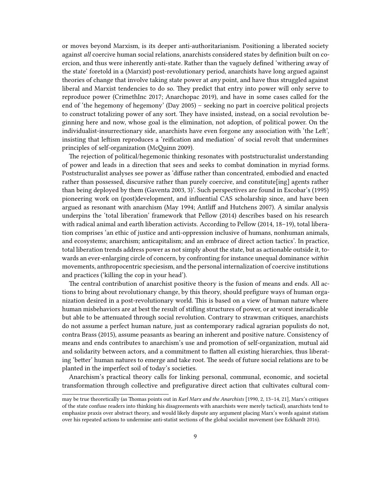or moves beyond Marxism, is its deeper anti-authoritarianism. Positioning a liberated society against *all* coercive human social relations, anarchists considered states by definition built on coercion, and thus were inherently anti-state. Rather than the vaguely defined 'withering away of the state' foretold in a (Marxist) post-revolutionary period, anarchists have long argued against theories of change that involve taking state power at *any* point, and have thus struggled against liberal and Marxist tendencies to do so. They predict that entry into power will only serve to reproduce power (CrimethInc 2017; Anarchopac 2019), and have in some cases called for the end of 'the hegemony of hegemony' (Day 2005) – seeking no part in coercive political projects to construct totalizing power of any sort. They have insisted, instead, on a social revolution beginning here and now, whose goal is the elimination, not adoption, of political power. On the individualist-insurrectionary side, anarchists have even forgone any association with 'the Left', insisting that leftism reproduces a 'reification and mediation' of social revolt that undermines principles of self-organization (McQuinn 2009).

The rejection of political/hegemonic thinking resonates with poststructuralist understanding of power and leads in a direction that sees and seeks to combat domination in myriad forms. Poststructuralist analyses see power as 'diffuse rather than concentrated, embodied and enacted rather than possessed, discursive rather than purely coercive, and constitute[ing] agents rather than being deployed by them (Gaventa 2003, 3)'. Such perspectives are found in Escobar's (1995) pioneering work on (post)development, and influential CAS scholarship since, and have been argued as resonant with anarchism (May 1994; Antliff and Hutchens 2007). A similar analysis underpins the 'total liberation' framework that Pellow (2014) describes based on his research with radical animal and earth liberation activists. According to Pellow (2014, 18–19), total liberation comprises 'an ethic of justice and anti-oppression inclusive of humans, nonhuman animals, and ecosystems; anarchism; anticapitalism; and an embrace of direct action tactics'. In practice, total liberation trends address power as not simply about the state, but as actionable outside it, towards an ever-enlarging circle of concern, by confronting for instance unequal dominance *within* movements, anthropocentric speciesism, and the personal internalization of coercive institutions and practices ('killing the cop in your head').

The central contribution of anarchist positive theory is the fusion of means and ends. All actions to bring about revolutionary change, by this theory, should prefigure ways of human organization desired in a post-revolutionary world. This is based on a view of human nature where human misbehaviors are at best the result of stifling structures of power, or at worst ineradicable but able to be attenuated through social revolution. Contrary to strawman critiques, anarchists do not assume a perfect human nature, just as contemporary radical agrarian populists do not, contra Brass (2015), assume peasants as bearing an inherent and positive nature. Consistency of means and ends contributes to anarchism's use and promotion of self-organization, mutual aid and solidarity between actors, and a commitment to flatten all existing hierarchies, thus liberating 'better' human natures to emerge and take root. The seeds of future social relations are to be planted in the imperfect soil of today's societies.

Anarchism's practical theory calls for linking personal, communal, economic, and societal transformation through collective and prefigurative direct action that cultivates cultural com-

may be true theoretically (as Thomas points out in *Karl Marx and the Anarchists* [1990, 2, 13–14, 21], Marx's critiques of the state confuse readers into thinking his disagreements with anarchists were merely tactical), anarchists tend to emphasize praxis over abstract theory, and would likely dispute any argument placing Marx's words against statism over his repeated actions to undermine anti-statist sections of the global socialist movement (see Eckhardt 2016).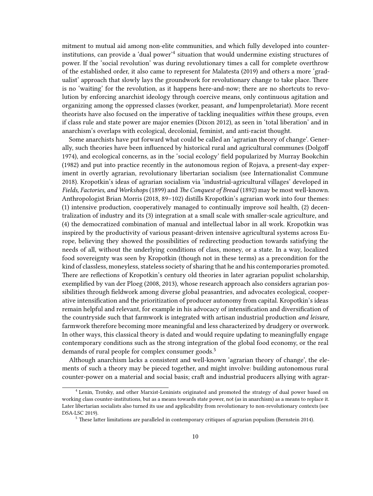mitment to mutual aid among non-elite communities, and which fully developed into counterinstitutions, can provide a 'dual power'<sup>4</sup> situation that would undermine existing structures of power. If the 'social revolution' was during revolutionary times a call for complete overthrow of the established order, it also came to represent for Malatesta (2019) and others a more 'gradualist' approach that slowly lays the groundwork for revolutionary change to take place. There is no 'waiting' for the revolution, as it happens here-and-now; there are no shortcuts to revolution by enforcing anarchist ideology through coercive means, only continuous agitation and organizing among the oppressed classes (worker, peasant, *and* lumpenproletariat). More recent theorists have also focused on the imperative of tackling inequalities *within* these groups, even if class rule and state power are major enemies (Dixon 2012), as seen in 'total liberation' and in anarchism's overlaps with ecological, decolonial, feminist, and anti-racist thought.

Some anarchists have put forward what could be called an 'agrarian theory of change'. Generally, such theories have been influenced by historical rural and agricultural communes (Dolgoff 1974), and ecological concerns, as in the 'social ecology' field popularized by Murray Bookchin (1982) and put into practice recently in the autonomous region of Rojava, a present-day experiment in overtly agrarian, revolutionary libertarian socialism (see Internationalist Commune 2018). Kropotkin's ideas of agrarian socialism via 'industrial-agricultural villages' developed in *Fields, Factories, and Workshops* (1899) and *The Conquest of Bread* (1892) may be most well-known. Anthropologist Brian Morris (2018, 89–102) distills Kropotkin's agrarian work into four themes: (1) intensive production, cooperatively managed to continually improve soil health, (2) decentralization of industry and its (3) integration at a small scale with smaller-scale agriculture, and (4) the democratized combination of manual and intellectual labor in all work. Kropotkin was inspired by the productivity of various peasant-driven intensive agricultural systems across Europe, believing they showed the possibilities of redirecting production towards satisfying the needs of all, without the underlying conditions of class, money, or a state. In a way, localized food sovereignty was seen by Kropotkin (though not in these terms) as a precondition for the kind of classless, moneyless, stateless society of sharing that he and his contemporaries promoted. There are reflections of Kropotkin's century old theories in later agrarian populist scholarship, exemplified by van der Ploeg (2008, 2013), whose research approach also considers agrarian possibilities through fieldwork among diverse global peasantries, and advocates ecological, cooperative intensification and the prioritization of producer autonomy from capital. Kropotkin's ideas remain helpful and relevant, for example in his advocacy of intensification and diversification of the countryside such that farmwork is integrated with artisan industrial production *and leisure*, farmwork therefore becoming more meaningful and less characterized by drudgery or overwork. In other ways, this classical theory is dated and would require updating to meaningfully engage contemporary conditions such as the strong integration of the global food economy, or the real demands of rural people for complex consumer goods.<sup>5</sup>

Although anarchism lacks a consistent and well-known 'agrarian theory of change', the elements of such a theory may be pieced together, and might involve: building autonomous rural counter-power on a material and social basis; craft and industrial producers allying with agrar-

<sup>4</sup> Lenin, Trotsky, and other Marxist-Leninists originated and promoted the strategy of dual power based on working class counter-institutions, but as a means towards state power, not (as in anarchism) as a means to replace it. Later libertarian socialists also turned its use and applicability from revolutionary to non-revolutionary contexts (see DSA-LSC 2019).

 $5$  These latter limitations are paralleled in contemporary critiques of agrarian populism (Bernstein 2014).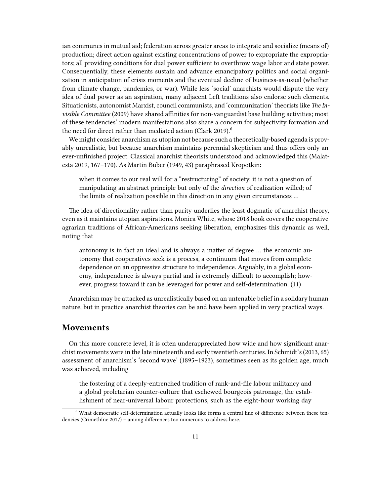ian communes in mutual aid; federation across greater areas to integrate and socialize (means of) production; direct action against existing concentrations of power to expropriate the expropriators; all providing conditions for dual power sufficient to overthrow wage labor and state power. Consequentially, these elements sustain and advance emancipatory politics and social organization in anticipation of crisis moments and the eventual decline of business-as-usual (whether from climate change, pandemics, or war). While less 'social' anarchists would dispute the very idea of dual power as an aspiration, many adjacent Left traditions also endorse such elements. Situationists, autonomist Marxist, council communists, and 'communization' theorists like *The Invisible Committee* (2009) have shared affinities for non-vanguardist base building activities; most of these tendencies' modern manifestations also share a concern for subjectivity formation and the need for direct rather than mediated action (Clark 2019).<sup>6</sup>

We might consider anarchism as utopian not because such a theoretically-based agenda is provably unrealistic, but because anarchism maintains perennial skepticism and thus offers only an ever-unfinished project. Classical anarchist theorists understood and acknowledged this (Malatesta 2019, 167–170). As Martin Buber (1949, 43) paraphrased Kropotkin:

when it comes to our real will for a "restructuring" of society, it is not a question of manipulating an abstract principle but only of the *direction* of realization willed; of the limits of realization possible in this direction in any given circumstances …

The idea of directionality rather than purity underlies the least dogmatic of anarchist theory, even as it maintains utopian aspirations. Monica White, whose 2018 book covers the cooperative agrarian traditions of African-Americans seeking liberation, emphasizes this dynamic as well, noting that

autonomy is in fact an ideal and is always a matter of degree … the economic autonomy that cooperatives seek is a process, a continuum that moves from complete dependence on an oppressive structure to independence. Arguably, in a global economy, independence is always partial and is extremely difficult to accomplish; however, progress toward it can be leveraged for power and self-determination. (11)

Anarchism may be attacked as unrealistically based on an untenable belief in a solidary human nature, but in practice anarchist theories can be and have been applied in very practical ways.

### <span id="page-10-0"></span>**Movements**

On this more concrete level, it is often underappreciated how wide and how significant anarchist movements were in the late nineteenth and early twentieth centuries. In Schmidt's (2013, 65) assessment of anarchism's 'second wave' (1895–1923), sometimes seen as its golden age, much was achieved, including

the fostering of a deeply-entrenched tradition of rank-and-file labour militancy and a global proletarian counter-culture that eschewed bourgeois patronage, the establishment of near-universal labour protections, such as the eight-hour working day

 $6$  What democratic self-determination actually looks like forms a central line of difference between these tendencies (CrimethInc 2017) – among differences too numerous to address here.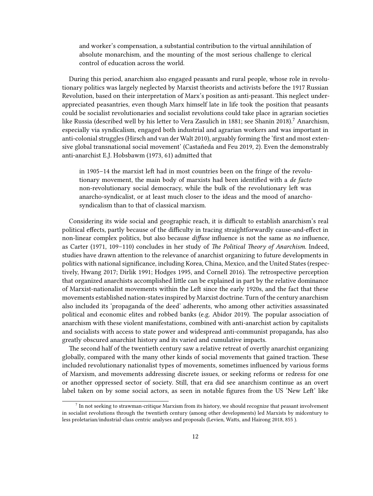and worker's compensation, a substantial contribution to the virtual annihilation of absolute monarchism, and the mounting of the most serious challenge to clerical control of education across the world.

During this period, anarchism also engaged peasants and rural people, whose role in revolutionary politics was largely neglected by Marxist theorists and activists before the 1917 Russian Revolution, based on their interpretation of Marx's position as anti-peasant. This neglect underappreciated peasantries, even though Marx himself late in life took the position that peasants could be socialist revolutionaries and socialist revolutions could take place in agrarian societies like Russia (described well by his letter to Vera Zasulich in 1881; see Shanin 2018).<sup>7</sup> Anarchism, especially via syndicalism, engaged both industrial and agrarian workers and was important in anti-colonial struggles (Hirsch and van der Walt 2010), arguably forming the 'first and most extensive global transnational social movement' (Castañeda and Feu 2019, 2). Even the demonstrably anti-anarchist E.J. Hobsbawm (1973, 61) admitted that

in 1905–14 the marxist left had in most countries been on the fringe of the revolutionary movement, the main body of marxists had been identified with a *de facto* non-revolutionary social democracy, while the bulk of the revolutionary left was anarcho-syndicalist, or at least much closer to the ideas and the mood of anarchosyndicalism than to that of classical marxism.

Considering its wide social and geographic reach, it is difficult to establish anarchism's real political effects, partly because of the difficulty in tracing straightforwardly cause-and-effect in non-linear complex politics, but also because *diffuse* influence is not the same as *no* influence, as Carter (1971, 109–110) concludes in her study of *The Political Theory of Anarchism*. Indeed, studies have drawn attention to the relevance of anarchist organizing to future developments in politics with national significance, including Korea, China, Mexico, and the United States (respectively, Hwang 2017; Dirlik 1991; Hodges 1995, and Cornell 2016). The retrospective perception that organized anarchists accomplished little can be explained in part by the relative dominance of Marxist-nationalist movements within the Left since the early 1920s, and the fact that these movements established nation-states inspired by Marxist doctrine. Turn of the century anarchism also included its 'propaganda of the deed' adherents, who among other activities assassinated political and economic elites and robbed banks (e.g. Abidor 2019). The popular association of anarchism with these violent manifestations, combined with anti-anarchist action by capitalists and socialists with access to state power and widespread anti-communist propaganda, has also greatly obscured anarchist history and its varied and cumulative impacts.

The second half of the twentieth century saw a relative retreat of overtly anarchist organizing globally, compared with the many other kinds of social movements that gained traction. These included revolutionary nationalist types of movements, sometimes influenced by various forms of Marxism, and movements addressing discrete issues, or seeking reforms or redress for one or another oppressed sector of society. Still, that era did see anarchism continue as an overt label taken on by some social actors, as seen in notable figures from the US 'New Left' like

 $^7$  In not seeking to strawman-critique Marxism from its history, we should recognize that peasant involvement in socialist revolutions through the twentieth century (among other developments) led Marxists by midcentury to less proletarian/industrial-class centric analyses and proposals (Levien, Watts, and Hairong 2018, 855 ).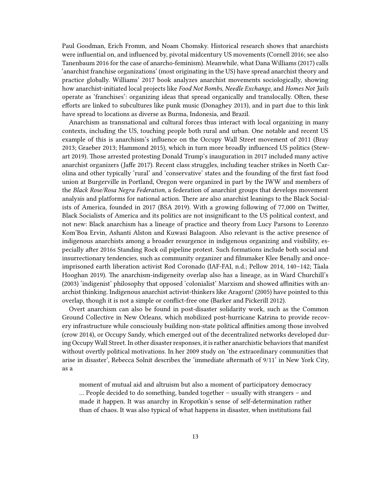Paul Goodman, Erich Fromm, and Noam Chomsky. Historical research shows that anarchists were influential on, and influenced by, pivotal midcentury US movements (Cornell 2016; see also Tanenbaum 2016 for the case of anarcho-feminism). Meanwhile, what Dana Williams (2017) calls 'anarchist franchise organizations' (most originating in the US) have spread anarchist theory and practice globally. Williams' 2017 book analyzes anarchist movements sociologically, showing how anarchist-initiated local projects like *Food Not Bombs*, *Needle Exchange*, and *Homes Not Jails* operate as 'franchises': organizing ideas that spread organically and translocally. Often, these efforts are linked to subcultures like punk music (Donaghey 2013), and in part due to this link have spread to locations as diverse as Burma, Indonesia, and Brazil.

Anarchism as transnational and cultural forces thus interact with local organizing in many contexts, including the US, touching people both rural and urban. One notable and recent US example of this is anarchism's influence on the Occupy Wall Street movement of 2011 (Bray 2013; Graeber 2013; Hammond 2015), which in turn more broadly influenced US politics (Stewart 2019). Those arrested protesting Donald Trump's inauguration in 2017 included many active anarchist organizers (Jaffe 2017). Recent class struggles, including teacher strikes in North Carolina and other typically 'rural' and 'conservative' states and the founding of the first fast food union at Burgerville in Portland, Oregon were organized in part by the IWW and members of the *Black Rose/Rosa Negra Federation*, a federation of anarchist groups that develops movement analysis and platforms for national action. There are also anarchist leanings to the Black Socialists of America, founded in 2017 (BSA 2019). With a growing following of 77,000 on Twitter, Black Socialists of America and its politics are not insignificant to the US political context, and not new: Black anarchism has a lineage of practice and theory from Lucy Parsons to Lorenzo Kom'Boa Ervin, Ashanti Alston and Kuwasi Balagoon. Also relevant is the active presence of indigenous anarchists among a broader resurgence in indigenous organizing and visibility, especially after 2016s Standing Rock oil pipeline protest. Such formations include both social and insurrectionary tendencies, such as community organizer and filmmaker Klee Benally and onceimprisoned earth liberation activist Rod Coronado (IAF-FAI, n.d.; Pellow 2014, 140–142; Táala Hooghan 2019). The anarchism-indigeneity overlap also has a lineage, as in Ward Churchill's (2003) 'indigenist' philosophy that opposed 'colonialist' Marxism and showed affinities with anarchist thinking. Indigenous anarchist activist-thinkers like Aragorn! (2005) have pointed to this overlap, though it is not a simple or conflict-free one (Barker and Pickerill 2012).

Overt anarchism can also be found in post-disaster solidarity work, such as the Common Ground Collective in New Orleans, which mobilized post-hurricane Katrina to provide recovery infrastructure while consciously building non-state political affinities among those involved (crow 2014), or Occupy Sandy, which emerged out of the decentralized networks developed during Occupy Wall Street. In other disaster responses, it is rather anarchistic behaviors that manifest without overtly political motivations. In her 2009 study on 'the extraordinary communities that arise in disaster', Rebecca Solnit describes the 'immediate aftermath of 9/11' in New York City, as a

moment of mutual aid and altruism but also a moment of participatory democracy … People decided to do something, banded together – usually with strangers – and made it happen. It was anarchy in Kropotkin's sense of self-determination rather than of chaos. It was also typical of what happens in disaster, when institutions fail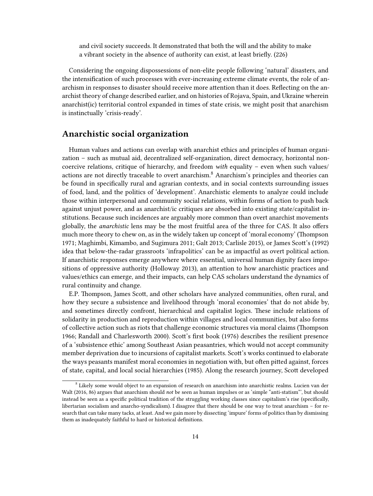and civil society succeeds. It demonstrated that both the will and the ability to make a vibrant society in the absence of authority can exist, at least briefly. (226)

Considering the ongoing dispossessions of non-elite people following 'natural' disasters, and the intensification of such processes with ever-increasing extreme climate events, the role of anarchism in responses to disaster should receive more attention than it does. Reflecting on the anarchist theory of change described earlier, and on histories of Rojava, Spain, and Ukraine wherein anarchist(ic) territorial control expanded in times of state crisis, we might posit that anarchism is instinctually 'crisis-ready'.

# <span id="page-13-0"></span>**Anarchistic social organization**

Human values and actions can overlap with anarchist ethics and principles of human organization – such as mutual aid, decentralized self-organization, direct democracy, horizontal noncoercive relations, critique of hierarchy, and freedom *with* equality – even when such values/ actions are not directly traceable to overt anarchism.<sup>8</sup> Anarchism's principles and theories can be found in specifically rural and agrarian contexts, and in social contexts surrounding issues of food, land, and the politics of 'development'. Anarchistic elements to analyze could include those within interpersonal and community social relations, within forms of action to push back against unjust power, and as anarchist/ic critiques are absorbed into existing state/capitalist institutions. Because such incidences are arguably more common than overt anarchist movements globally, the *anarchistic* lens may be the most fruitful area of the three for CAS. It also offers much more theory to chew on, as in the widely taken up concept of 'moral economy' (Thompson 1971; Maghimbi, Kimambo, and Sugimura 2011; Galt 2013; Carlisle 2015), or James Scott's (1992) idea that below-the-radar grassroots 'infrapolitics' can be as impactful as overt political action. If anarchistic responses emerge anywhere where essential, universal human dignity faces impositions of oppressive authority (Holloway 2013), an attention to how anarchistic practices and values/ethics can emerge, and their impacts, can help CAS scholars understand the dynamics of rural continuity and change.

E.P. Thompson, James Scott, and other scholars have analyzed communities, often rural, and how they secure a subsistence and livelihood through 'moral economies' that do not abide by, and sometimes directly confront, hierarchical and capitalist logics. These include relations of solidarity in production and reproduction within villages and local communities, but also forms of collective action such as riots that challenge economic structures via moral claims (Thompson 1966; Randall and Charlesworth 2000). Scott's first book (1976) describes the resilient presence of a 'subsistence ethic' among Southeast Asian peasantries, which would not accept community member deprivation due to incursions of capitalist markets. Scott's works continued to elaborate the ways peasants manifest moral economies in negotiation with, but often pitted against, forces of state, capital, and local social hierarchies (1985). Along the research journey, Scott developed

<sup>&</sup>lt;sup>8</sup> Likely some would object to an expansion of research on anarchism into anarchistic realms. Lucien van der Walt (2016, 86) argues that anarchism should *not* be seen as human impulses or as 'simple "anti-statism"', but should instead be seen as a specific political tradition of the struggling working classes since capitalism's rise (specifically, libertarian socialism and anarcho-syndicalism). I disagree that there should be one way to treat anarchism – for research that can take many tacks, at least. And we gain more by dissecting 'impure' forms of politics than by dismissing them as inadequately faithful to hard or historical definitions.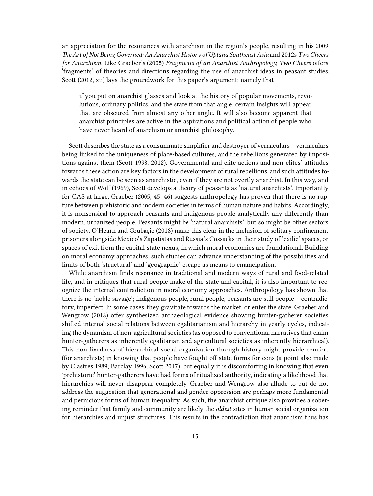an appreciation for the resonances with anarchism in the region's people, resulting in his 2009 *The Art of Not Being Governed: An Anarchist History of Upland Southeast Asia* and 2012s *Two Cheers for Anarchism.* Like Graeber's (2005) *Fragments of an Anarchist Anthropology, Two Cheers* offers 'fragments' of theories and directions regarding the use of anarchist ideas in peasant studies. Scott (2012, xii) lays the groundwork for this paper's argument; namely that

if you put on anarchist glasses and look at the history of popular movements, revolutions, ordinary politics, and the state from that angle, certain insights will appear that are obscured from almost any other angle. It will also become apparent that anarchist principles are active in the aspirations and political action of people who have never heard of anarchism or anarchist philosophy.

Scott describes the state as a consummate simplifier and destroyer of vernaculars – vernaculars being linked to the uniqueness of place-based cultures, and the rebellions generated by impositions against them (Scott 1998, 2012). Governmental and elite actions and non-elites' attitudes towards these action are key factors in the development of rural rebellions, and such attitudes towards the state can be seen as anarchistic, even if they are not overtly anarchist. In this way, and in echoes of Wolf (1969), Scott develops a theory of peasants as 'natural anarchists'. Importantly for CAS at large, Graeber (2005, 45–46) suggests anthropology has proven that there is no rupture between prehistoric and modern societies in terms of human nature and habits. Accordingly, it is nonsensical to approach peasants and indigenous people analytically any differently than modern, urbanized people. Peasants might be 'natural anarchists', but so might be other sectors of society. O'Hearn and Grubaçic (2018) make this clear in the inclusion of solitary confinement prisoners alongside Mexico's Zapatistas and Russia's Cossacks in their study of 'exilic' spaces, or spaces of exit from the capital-state nexus, in which moral economies are foundational. Building on moral economy approaches, such studies can advance understanding of the possibilities and limits of both 'structural' and 'geographic' escape as means to emancipation.

While anarchism finds resonance in traditional and modern ways of rural and food-related life, and in critiques that rural people make of the state and capital, it is also important to recognize the internal contradiction in moral economy approaches. Anthropology has shown that there is no 'noble savage'; indigenous people, rural people, peasants are still people – contradictory, imperfect. In some cases, they gravitate towards the market, or enter the state. Graeber and Wengrow (2018) offer synthesized archaeological evidence showing hunter-gatherer societies shifted internal social relations between egalitarianism and hierarchy in yearly cycles, indicating the dynamism of non-agricultural societies (as opposed to conventional narratives that claim hunter-gatherers as inherently egalitarian and agricultural societies as inherently hierarchical). This non-fixedness of hierarchical social organization through history might provide comfort (for anarchists) in knowing that people have fought off state forms for eons (a point also made by Clastres 1989; Barclay 1996; Scott 2017), but equally it is discomforting in knowing that even 'prehistoric' hunter-gatherers have had forms of ritualized authority, indicating a likelihood that hierarchies will never disappear completely. Graeber and Wengrow also allude to but do not address the suggestion that generational and gender oppression are perhaps more fundamental and pernicious forms of human inequality. As such, the anarchist critique also provides a sobering reminder that family and community are likely the *oldest* sites in human social organization for hierarchies and unjust structures. This results in the contradiction that anarchism thus has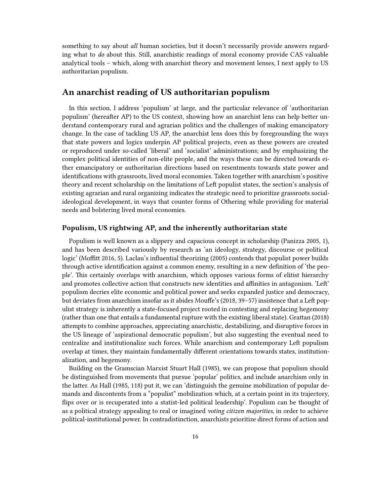something to say about *all* human societies, but it doesn't necessarily provide answers regarding what to *do* about this. Still, anarchistic readings of moral economy provide CAS valuable analytical tools – which, along with anarchist theory and movement lenses, I next apply to US authoritarian populism.

# <span id="page-15-0"></span>**An anarchist reading of US authoritarian populism**

In this section, I address 'populism' at large, and the particular relevance of 'authoritarian populism' (hereafter AP) to the US context, showing how an anarchist lens can help better understand contemporary rural and agrarian politics and the challenges of making emancipatory change. In the case of tackling US AP, the anarchist lens does this by foregrounding the ways that state powers and logics underpin AP political projects, even as these powers are created or reproduced under so-called 'liberal' and 'socialist' administrations; and by emphasizing the complex political identities of non-elite people, and the ways these can be directed towards either emancipatory or authoritarian directions based on resentments towards state power and identifications with grassroots, lived moral economies. Taken together with anarchism's positive theory and recent scholarship on the limitations of Left populist states, the section's analysis of existing agrarian and rural organizing indicates the strategic need to prioritize grassroots socialideological development, in ways that counter forms of Othering while providing for material needs and bolstering lived moral economies.

#### <span id="page-15-1"></span>**Populism, US rightwing AP, and the inherently authoritarian state**

Populism is well known as a slippery and capacious concept in scholarship (Panizza 2005, 1), and has been described variously by research as 'an ideology, strategy, discourse or political logic' (Moffitt 2016, 5). Laclau's influential theorizing (2005) contends that populist power builds through active identification against a common enemy, resulting in a new definition of 'the people'. This certainly overlaps with anarchism, which opposes various forms of elitist hierarchy and promotes collective action that constructs new identities and affinities in antagonism. 'Left' populism decries elite economic and political power and seeks expanded justice and democracy, but deviates from anarchism insofar as it abides Mouffe's (2018, 39–57) insistence that a Left populist strategy is inherently a state-focused project rooted in contesting and replacing hegemony (rather than one that entails a fundamental rupture with the existing liberal state). Grattan (2018) attempts to combine approaches, appreciating anarchistic, destabilizing, and disruptive forces in the US lineage of 'aspirational democratic populism', but also suggesting the eventual need to centralize and institutionalize such forces. While anarchism and contemporary Left populism overlap at times, they maintain fundamentally different orientations towards states, institutionalization, and hegemony.

Building on the Gramscian Marxist Stuart Hall (1985), we can propose that populism should be distinguished from movements that pursue 'popular' politics, and include anarchism only in the latter. As Hall (1985, 118) put it, we can 'distinguish the genuine mobilization of popular demands and discontents from a "populist" mobilization which, at a certain point in its trajectory, flips over or is recuperated into a statist-led political leadership'. Populism can be thought of as a political strategy appealing to real or imagined *voting citizen majorities*, in order to achieve political-institutional power. In contradistinction, anarchists prioritize direct forms of action and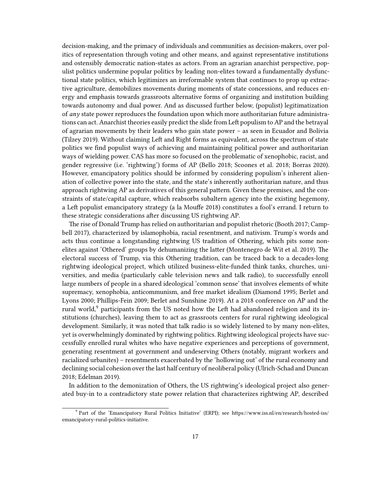decision-making, and the primacy of individuals and communities as decision-makers, over politics of representation through voting and other means, and against representative institutions and ostensibly democratic nation-states as actors. From an agrarian anarchist perspective, populist politics undermine popular politics by leading non-elites toward a fundamentally dysfunctional state politics, which legitimizes an irreformable system that continues to prop up extractive agriculture, demobilizes movements during moments of state concessions, and reduces energy and emphasis towards grassroots alternative forms of organizing and institution building towards autonomy and dual power. And as discussed further below, (populist) legitimatization of *any* state power reproduces the foundation upon which more authoritarian future administrations can act. Anarchist theories easily predict the slide from Left populism to AP and the betrayal of agrarian movements by their leaders who gain state power – as seen in Ecuador and Bolivia (Tilzey 2019). Without claiming Left and Right forms as equivalent, across the spectrum of state politics we find populist ways of achieving and maintaining political power and authoritarian ways of wielding power. CAS has more so focused on the problematic of xenophobic, racist, and gender regressive (i.e. 'rightwing') forms of AP (Bello 2018; Scoones et al. 2018; Borras 2020). However, emancipatory politics should be informed by considering populism's inherent alienation of collective power into the state, and the state's inherently authoritarian nature, and thus approach rightwing AP as derivatives of this general pattern. Given these premises, and the constraints of state/capital capture, which reabsorbs subaltern agency into the existing hegemony, a Left populist emancipatory strategy (a la Mouffe 2018) constitutes a fool's errand. I return to these strategic considerations after discussing US rightwing AP.

The rise of Donald Trump has relied on authoritarian and populist rhetoric (Booth 2017; Campbell 2017), characterized by islamophobia, racial resentment, and nativism. Trump's words and acts thus continue a longstanding rightwing US tradition of Othering, which pits some nonelites against 'Othered' groups by dehumanizing the latter (Montenegro de Wit et al. 2019). The electoral success of Trump, via this Othering tradition, can be traced back to a decades-long rightwing ideological project, which utilized business-elite-funded think tanks, churches, universities, and media (particularly cable television news and talk radio), to successfully enroll large numbers of people in a shared ideological 'common sense' that involves elements of white supremacy, xenophobia, anticommunism, and free market idealism (Diamond 1995; Berlet and Lyons 2000; Phillips-Fein 2009; Berlet and Sunshine 2019). At a 2018 conference on AP and the rural world, $9$  participants from the US noted how the Left had abandoned religion and its institutions (churches), leaving them to act as grassroots centers for rural rightwing ideological development. Similarly, it was noted that talk radio is so widely listened to by many non-elites, yet is overwhelmingly dominated by rightwing politics. Rightwing ideological projects have successfully enrolled rural whites who have negative experiences and perceptions of government, generating resentment at government and undeserving Others (notably, migrant workers and racialized urbanites) – resentments exacerbated by the 'hollowing out' of the rural economy and declining social cohesion over the last half century of neoliberal policy (Ulrich-Schad and Duncan 2018; Edelman 2019).

In addition to the demonization of Others, the US rightwing's ideological project also generated buy-in to a contradictory state power relation that characterizes rightwing AP, described

<sup>9</sup> Part of the 'Emancipatory Rural Politics Initiative' (ERPI); see https://www.iss.nl/en/research/hosted-iss/ emancipatory-rural-politics-initiative.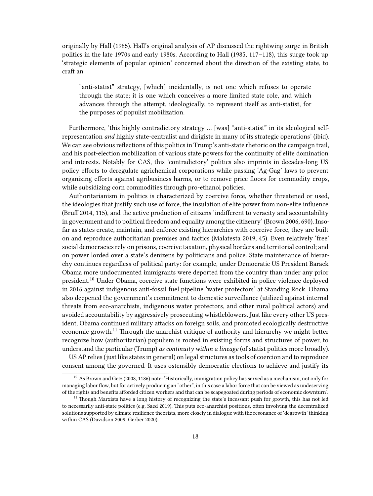originally by Hall (1985). Hall's original analysis of AP discussed the rightwing surge in British politics in the late 1970s and early 1980s. According to Hall (1985, 117–118), this surge took up 'strategic elements of popular opinion' concerned about the direction of the existing state, to craft an

"anti-statist" strategy, [which] incidentally, is not one which refuses to operate through the state; it is one which conceives a more limited state role, and which advances through the attempt, ideologically, to represent itself as anti-statist, for the purposes of populist mobilization.

Furthermore, 'this highly contradictory strategy … [was] "anti-statist" in its ideological selfrepresentation *and* highly state-centralist and dirigiste in many of its strategic operations' (ibid). We can see obvious reflections of this politics in Trump's anti-state rhetoric on the campaign trail, and his post-election mobilization of various state powers for the continuity of elite domination and interests. Notably for CAS, this 'contradictory' politics also imprints in decades-long US policy efforts to deregulate agrichemical corporations while passing 'Ag-Gag' laws to prevent organizing efforts against agribusiness harms, or to remove price floors for commodity crops, while subsidizing corn commodities through pro-ethanol policies.

Authoritarianism in politics is characterized by coercive force, whether threatened or used, the ideologies that justify such use of force, the insulation of elite power from non-elite influence (Bruff 2014, 115), and the active production of citizens 'indifferent to veracity and accountability in government and to political freedom and equality among the citizenry' (Brown 2006, 690). Insofar as states create, maintain, and enforce existing hierarchies with coercive force, they are built on and reproduce authoritarian premises and tactics (Malatesta 2019, 45). Even relatively 'free' social democracies rely on prisons, coercive taxation, physical borders and territorial control; and on power lorded over a state's denizens by politicians and police. State maintenance of hierarchy continues regardless of political party: for example, under Democratic US President Barack Obama more undocumented immigrants were deported from the country than under any prior president.<sup>10</sup> Under Obama, coercive state functions were exhibited in police violence deployed in 2016 against indigenous anti-fossil fuel pipeline 'water protectors' at Standing Rock. Obama also deepened the government's commitment to domestic surveillance (utilized against internal threats from eco-anarchists, indigenous water protectors, and other rural political actors) and avoided accountability by aggressively prosecuting whistleblowers. Just like every other US president, Obama continued military attacks on foreign soils, and promoted ecologically destructive economic growth.<sup>11</sup> Through the anarchist critique of authority and hierarchy we might better recognize how (authoritarian) populism is rooted in existing forms and structures of power, to understand the particular (Trump) *as continuity within a lineage* (of statist politics more broadly).

US AP relies (just like states in general) on legal structures as tools of coercion and to reproduce consent among the governed. It uses ostensibly democratic elections to achieve and justify its

 $10$  As Brown and Getz (2008, 1186) note: 'Historically, immigration policy has served as a mechanism, not only for managing labor flow, but for actively producing an "other", in this case a labor force that can be viewed as undeserving of the rights and benefits afforded citizen workers and that can be scapegoated during periods of economic downturn'.

<sup>&</sup>lt;sup>11</sup> Though Marxists have a long history of recognizing the state's incessant push for growth, this has not led to necessarily anti-state politics (e.g. Saed 2019). This puts eco-anarchist positions, often involving the decentralized solutions supported by climate resilience theorists, more closely in dialogue with the resonance of 'degrowth' thinking within CAS (Davidson 2009; Gerber 2020).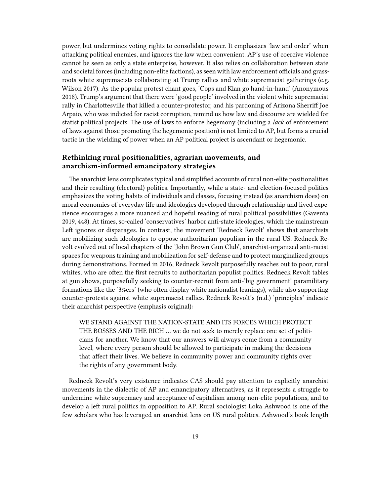power, but undermines voting rights to consolidate power. It emphasizes 'law and order' when attacking political enemies, and ignores the law when convenient. AP's use of coercive violence cannot be seen as only a state enterprise, however. It also relies on collaboration between state and societal forces (including non-elite factions), as seen with law enforcement officials and grassroots white supremacists collaborating at Trump rallies and white supremacist gatherings (e.g. Wilson 2017). As the popular protest chant goes, 'Cops and Klan go hand-in-hand' (Anonymous 2018). Trump's argument that there were 'good people' involved in the violent white supremacist rally in Charlottesville that killed a counter-protestor, and his pardoning of Arizona Sherriff Joe Arpaio, who was indicted for racist corruption, remind us how law and discourse are wielded for statist political projects. The use of laws to enforce hegemony (including a *lack* of enforcement of laws against those promoting the hegemonic position) is not limited to AP, but forms a crucial tactic in the wielding of power when an AP political project is ascendant or hegemonic.

## <span id="page-18-0"></span>**Rethinking rural positionalities, agrarian movements, and anarchism-informed emancipatory strategies**

The anarchist lens complicates typical and simplified accounts of rural non-elite positionalities and their resulting (electoral) politics. Importantly, while a state- and election-focused politics emphasizes the voting habits of individuals and classes, focusing instead (as anarchism does) on moral economies of everyday life and ideologies developed through relationship and lived experience encourages a more nuanced and hopeful reading of rural political possibilities (Gaventa 2019, 448). At times, so-called 'conservatives' harbor anti-state ideologies, which the mainstream Left ignores or disparages. In contrast, the movement 'Redneck Revolt' shows that anarchists are mobilizing such ideologies to oppose authoritarian populism in the rural US. Redneck Revolt evolved out of local chapters of the 'John Brown Gun Club', anarchist-organized anti-racist spaces for weapons training and mobilization for self-defense and to protect marginalized groups during demonstrations. Formed in 2016, Redneck Revolt purposefully reaches out to poor, rural whites, who are often the first recruits to authoritarian populist politics. Redneck Revolt tables at gun shows, purposefully seeking to counter-recruit from anti-'big government' paramilitary formations like the '3%ers' (who often display white nationalist leanings), while also supporting counter-protests against white supremacist rallies. Redneck Revolt's (n.d.) 'principles' indicate their anarchist perspective (emphasis original):

WE STAND AGAINST THE NATION-STATE AND ITS FORCES WHICH PROTECT THE BOSSES AND THE RICH … we do not seek to merely replace one set of politicians for another. We know that our answers will always come from a community level, where every person should be allowed to participate in making the decisions that affect their lives. We believe in community power and community rights over the rights of any government body.

Redneck Revolt's very existence indicates CAS should pay attention to explicitly anarchist movements in the dialectic of AP and emancipatory alternatives, as it represents a struggle to undermine white supremacy and acceptance of capitalism among non-elite populations, and to develop a left rural politics in opposition to AP. Rural sociologist Loka Ashwood is one of the few scholars who has leveraged an anarchist lens on US rural politics. Ashwood's book length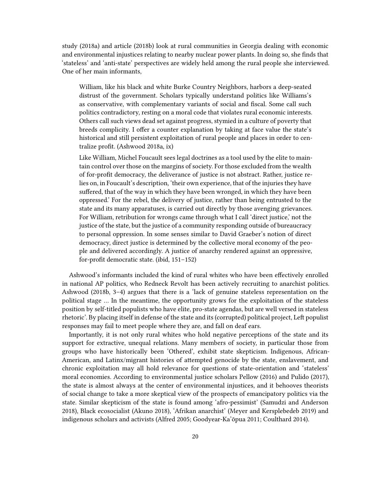study (2018a) and article (2018b) look at rural communities in Georgia dealing with economic and environmental injustices relating to nearby nuclear power plants. In doing so, she finds that 'stateless' and 'anti-state' perspectives are widely held among the rural people she interviewed. One of her main informants,

William, like his black and white Burke Country Neighbors, harbors a deep-seated distrust of the government. Scholars typically understand politics like Williams's as conservative, with complementary variants of social and fiscal. Some call such politics contradictory, resting on a moral code that violates rural economic interests. Others call such views dead set against progress, stymied in a culture of poverty that breeds complicity. I offer a counter explanation by taking at face value the state's historical and still persistent exploitation of rural people and places in order to centralize profit. (Ashwood 2018a, ix)

Like William, Michel Foucault sees legal doctrines as a tool used by the elite to maintain control over those on the margins of society. For those excluded from the wealth of for-profit democracy, the deliverance of justice is not abstract. Rather, justice relies on, in Foucault's description, 'their own experience, that of the injuries they have suffered, that of the way in which they have been wronged, in which they have been oppressed.' For the rebel, the delivery of justice, rather than being entrusted to the state and its many apparatuses, is carried out directly by those avenging grievances. For William, retribution for wrongs came through what I call 'direct justice,' not the justice of the state, but the justice of a community responding outside of bureaucracy to personal oppression. In some senses similar to David Graeber's notion of direct democracy, direct justice is determined by the collective moral economy of the people and delivered accordingly. A justice of anarchy rendered against an oppressive, for-profit democratic state. (ibid, 151–152)

Ashwood's informants included the kind of rural whites who have been effectively enrolled in national AP politics, who Redneck Revolt has been actively recruiting to anarchist politics. Ashwood (2018b, 3–4) argues that there is a 'lack of genuine stateless representation on the political stage … In the meantime, the opportunity grows for the exploitation of the stateless position by self-titled populists who have elite, pro-state agendas, but are well versed in stateless rhetoric'. By placing itself in defense of the state and its (corrupted) political project, Left populist responses may fail to meet people where they are, and fall on deaf ears.

Importantly, it is not only rural whites who hold negative perceptions of the state and its support for extractive, unequal relations. Many members of society, in particular those from groups who have historically been 'Othered', exhibit state skepticism. Indigenous, African-American, and Latinx/migrant histories of attempted genocide by the state, enslavement, and chronic exploitation may all hold relevance for questions of state-orientation and 'stateless' moral economies. According to environmental justice scholars Pellow (2016) and Pulido (2017), the state is almost always at the center of environmental injustices, and it behooves theorists of social change to take a more skeptical view of the prospects of emancipatory politics via the state. Similar skepticism of the state is found among 'afro-pessimist' (Samudzi and Anderson 2018), Black ecosocialist (Akuno 2018), 'Afrikan anarchist' (Meyer and Kersplebedeb 2019) and indigenous scholars and activists (Alfred 2005; Goodyear-Ka'ōpua 2011; Coulthard 2014).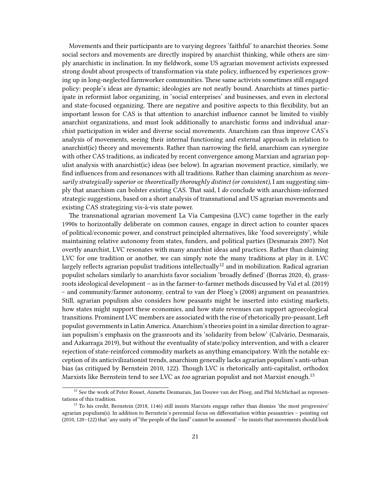Movements and their participants are to varying degrees 'faithful' to anarchist theories. Some social sectors and movements are directly inspired by anarchist thinking, while others are simply anarchistic in inclination. In my fieldwork, some US agrarian movement activists expressed strong doubt about prospects of transformation via state policy, influenced by experiences growing up in long-neglected farmworker communities. These same activists sometimes still engaged policy: people's ideas are dynamic; ideologies are not neatly bound. Anarchists at times participate in reformist labor organizing, in 'social enterprises' and businesses, and even in electoral and state-focused organizing. There are negative and positive aspects to this flexibility, but an important lesson for CAS is that attention to anarchist influence cannot be limited to visibly anarchist organizations, and must look additionally to anarchistic forms and individual anarchist participation in wider and diverse social movements. Anarchism can thus improve CAS's analysis of movements, seeing their internal functioning and external approach in relation to anarchist(ic) theory and movements. Rather than narrowing the field, anarchism can synergize with other CAS traditions, as indicated by recent convergence among Marxian and agrarian populist analysis with anarchist(ic) ideas (see below). In agrarian movement practice, similarly, we find influences from and resonances with all traditions. Rather than claiming anarchism as *necessarily strategically superior* or *theoretically thoroughly distinct (or consistent),* I am suggesting simply that anarchism can bolster existing CAS. That said, I *do* conclude with anarchism-informed strategic suggestions, based on a short analysis of transnational and US agrarian movements and existing CAS strategizing vis-à-vis state power.

The transnational agrarian movement La Vía Campesina (LVC) came together in the early 1990s to horizontally deliberate on common causes, engage in direct action to counter spaces of political/economic power, and construct principled alternatives, like 'food sovereignty', while maintaining relative autonomy from states, funders, and political parties (Desmarais 2007). Not overtly anarchist, LVC resonates with many anarchist ideas and practices. Rather than claiming LVC for one tradition or another, we can simply note the many traditions at play in it. LVC largely reflects agrarian populist traditions intellectually<sup>12</sup> and in mobilization. Radical agrarian populist scholars similarly to anarchists favor socialism 'broadly defined' (Borras 2020, 4), grassroots ideological development – as in the farmer-to-farmer methods discussed by Val et al. (2019) – and community/farmer autonomy, central to van der Ploeg's (2008) argument on peasantries. Still, agrarian populism also considers how peasants might be inserted into existing markets, how states might support these economies, and how state revenues can support agroecological transitions. Prominent LVC members are associated with the rise of rhetorically pro-peasant, Left populist governments in Latin America. Anarchism's theories point in a similar direction to agrarian populism's emphasis on the grassroots and its 'solidarity from below' (Calvário, Desmarais, and Azkarraga 2019), but without the eventuality of state/policy intervention, and with a clearer rejection of state-reinforced commodity markets as anything emancipatory. With the notable exception of its anticivilizationist trends, anarchism generally lacks agrarian populism's anti-urban bias (as critiqued by Bernstein 2010, 122). Though LVC is rhetorically anti-capitalist, orthodox Marxists like Bernstein tend to see LVC as *too* agrarian populist and not Marxist enough.<sup>13</sup>

 $12$  See the work of Peter Rosset, Annette Desmarais, Jan Douwe van der Ploeg, and Phil McMichael as representations of this tradition.

<sup>&</sup>lt;sup>13</sup> To his credit, Bernstein (2018, 1146) still insists Marxists engage rather than dismiss 'the most progressive' agrarian populism(s). In addition to Bernstein's perennial focus on differentiation within peasantries – pointing out (2010, 120–122) that 'any unity of "the people of the land" cannot be assumed' – he insists that movements should look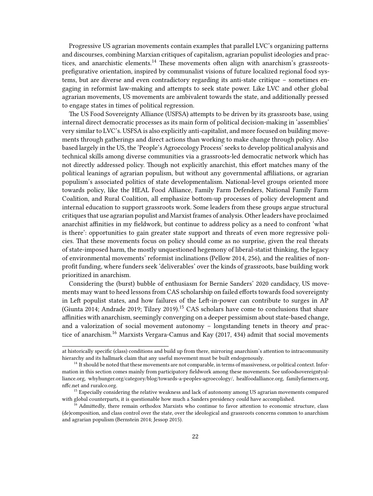Progressive US agrarian movements contain examples that parallel LVC's organizing patterns and discourses, combining Marxian critiques of capitalism, agrarian populist ideologies and practices, and anarchistic elements.<sup>14</sup> These movements often align with anarchism's grassrootsprefigurative orientation, inspired by communalist visions of future localized regional food systems, but are diverse and even contradictory regarding its anti-state critique – sometimes engaging in reformist law-making and attempts to seek state power. Like LVC and other global agrarian movements, US movements are ambivalent towards the state, and additionally pressed to engage states in times of political regression.

The US Food Sovereignty Alliance (USFSA) attempts to be driven by its grassroots base, using internal direct democratic processes as its main form of political decision-making in 'assemblies' very similar to LVC's. USFSA is also explicitly anti-capitalist, and more focused on building movements through gatherings and direct actions than working to make change through policy. Also based largely in the US, the 'People's Agroecology Process' seeks to develop political analysis and technical skills among diverse communities via a grassroots-led democratic network which has not directly addressed policy. Though not explicitly anarchist, this effort matches many of the political leanings of agrarian populism, but without any governmental affiliations, or agrarian populism's associated politics of state developmentalism. National-level groups oriented more towards policy, like the HEAL Food Alliance, Family Farm Defenders, National Family Farm Coalition, and Rural Coalition, all emphasize bottom-up processes of policy development and internal education to support grassroots work. Some leaders from these groups argue structural critiques that use agrarian populist and Marxist frames of analysis. Other leaders have proclaimed anarchist affinities in my fieldwork, but continue to address policy as a need to confront 'what is there': opportunities to gain greater state support and threats of even more regressive policies. That these movements focus on policy should come as no surprise, given the real threats of state-imposed harm, the mostly unquestioned hegemony of liberal-statist thinking, the legacy of environmental movements' reformist inclinations (Pellow 2014, 256), and the realities of nonprofit funding, where funders seek 'deliverables' over the kinds of grassroots, base building work prioritized in anarchism.

Considering the (burst) bubble of enthusiasm for Bernie Sanders' 2020 candidacy, US movements may want to heed lessons from CAS scholarship on failed efforts towards food sovereignty in Left populist states, and how failures of the Left-in-power can contribute to surges in AP (Giunta 2014; Andrade 2019; Tilzey 2019).<sup>15</sup> CAS scholars have come to conclusions that share affinities with anarchism, seemingly converging on a deeper pessimism about state-based change, and a valorization of social movement autonomy – longstanding tenets in theory *and* practice of anarchism.<sup>16</sup> Marxists Vergara-Camus and Kay (2017, 434) admit that social movements

at historically specific (class) conditions and build up from there, mirroring anarchism's attention to intracommunity hierarchy and its hallmark claim that any useful movement must be built endogenously.

<sup>&</sup>lt;sup>14</sup> It should be noted that these movements are not comparable, in terms of massiveness, or political context. Information in this section comes mainly from participatory fieldwork among these movements. See usfoodsovereigntyalliance.org, whyhunger.org/category/blog/towards-a-peoples-agroecology/, healfoodalliance.org, familyfarmers.org, nffc.net and ruralco.org.

<sup>&</sup>lt;sup>15</sup> Especially considering the relative weakness and lack of autonomy among US agrarian movements compared with global counterparts, it is questionable how much a Sanders presidency could have accomplished.

<sup>&</sup>lt;sup>16</sup> Admittedly, there remain orthodox Marxists who continue to favor attention to economic structure, class (de)composition, and class control over the state, over the ideological and grassroots concerns common to anarchism and agrarian populism (Bernstein 2014; Jessop 2015).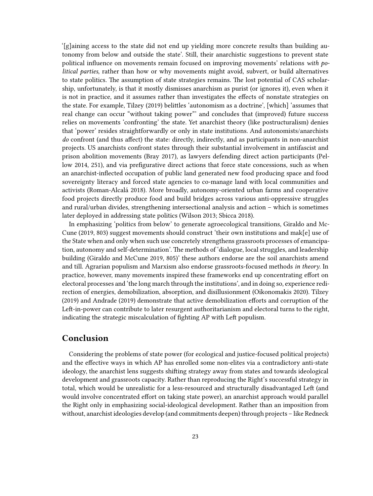'[g]aining access to the state did not end up yielding more concrete results than building autonomy from below and outside the state'. Still, their anarchistic suggestions to prevent state political influence on movements remain focused on improving movements' relations *with political parties*, rather than how or why movements might avoid, subvert, or build alternatives to state politics. The assumption of state strategies remains. The lost potential of CAS scholarship, unfortunately, is that it mostly dismisses anarchism as purist (or ignores it), even when it is not in practice, and it assumes rather than investigates the effects of nonstate strategies on the state. For example, Tilzey (2019) belittles 'autonomism as a doctrine', [which] 'assumes that real change can occur "without taking power"' and concludes that (improved) future success relies on movements 'confronting' the state. Yet anarchist theory (like postructuralism) denies that 'power' resides straightforwardly or only in state institutions. And autonomists/anarchists *do* confront (and thus affect) the state: directly, indirectly, and as participants in non-anarchist projects. US anarchists confront states through their substantial involvement in antifascist and prison abolition movements (Bray 2017), as lawyers defending direct action participants (Pellow 2014, 251), and via prefigurative direct actions that force state concessions, such as when an anarchist-inflected occupation of public land generated new food producing space and food sovereignty literacy and forced state agencies to co-manage land with local communities and activists (Roman-Alcalá 2018). More broadly, autonomy-oriented urban farms and cooperative food projects directly produce food and build bridges across various anti-oppressive struggles and rural/urban divides, strengthening intersectional analysis and action – which is sometimes later deployed in addressing state politics (Wilson 2013; Sbicca 2018).

In emphasizing 'politics from below' to generate agroecological transitions, Giraldo and Mc-Cune (2019, 803) suggest movements should construct 'their own institutions and mak[e] use of the State when and only when such use concretely strengthens grassroots processes of emancipation, autonomy and self-determination'. The methods of 'dialogue, local struggles, and leadership building (Giraldo and McCune 2019, 805)' these authors endorse are the soil anarchists amend and till. Agrarian populism and Marxism also endorse grassroots-focused methods *in theory*. In practice, however, many movements inspired these frameworks end up concentrating effort on electoral processes and 'the long march through the institutions', and in doing so, experience redirection of energies, demobilization, absorption, and disillusionment (Oikonomakis 2020). Tilzey (2019) and Andrade (2019) demonstrate that active demobilization efforts and corruption of the Left-in-power can contribute to later resurgent authoritarianism and electoral turns to the right, indicating the strategic miscalculation of fighting AP with Left populism.

# <span id="page-22-0"></span>**Conclusion**

Considering the problems of state power (for ecological and justice-focused political projects) and the effective ways in which AP has enrolled some non-elites via a contradictory anti-state ideology, the anarchist lens suggests shifting strategy away from states and towards ideological development and grassroots capacity. Rather than reproducing the Right's successful strategy in total, which would be unrealistic for a less-resourced and structurally disadvantaged Left (and would involve concentrated effort on taking state power), an anarchist approach would parallel the Right only in emphasizing social-ideological development. Rather than an imposition from without, anarchist ideologies develop (and commitments deepen) through projects – like Redneck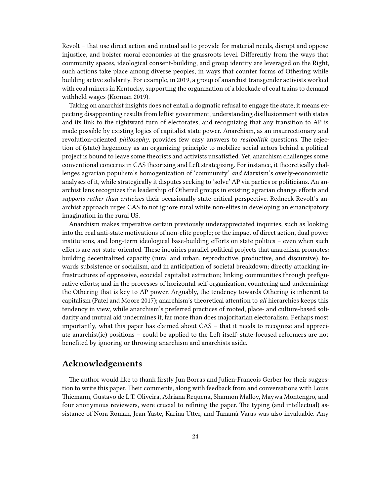Revolt – that use direct action and mutual aid to provide for material needs, disrupt and oppose injustice, and bolster moral economies at the grassroots level. Differently from the ways that community spaces, ideological consent-building, and group identity are leveraged on the Right, such actions take place among diverse peoples, in ways that counter forms of Othering while building active solidarity. For example, in 2019, a group of anarchist transgender activists worked with coal miners in Kentucky, supporting the organization of a blockade of coal trains to demand withheld wages (Korman 2019).

Taking on anarchist insights does not entail a dogmatic refusal to engage the state; it means expecting disappointing results from leftist government, understanding disillusionment with states and its link to the rightward turn of electorates, and recognizing that any transition to AP is made possible by existing logics of capitalist state power. Anarchism, as an insurrectionary and revolution-oriented *philosophy*, provides few easy answers to *realpolitik* questions. The rejection of (state) hegemony as an organizing principle to mobilize social actors behind a political project is bound to leave some theorists and activists unsatisfied. Yet, anarchism challenges some conventional concerns in CAS theorizing and Left strategizing. For instance, it theoretically challenges agrarian populism's homogenization of 'community' *and* Marxism's overly-economistic analyses of it, while strategically it disputes seeking to 'solve' AP via parties or politicians. An anarchist lens recognizes the leadership of Othered groups in existing agrarian change efforts and *supports rather than criticizes* their occasionally state-critical perspective. Redneck Revolt's anarchist approach urges CAS to not ignore rural white non-elites in developing an emancipatory imagination in the rural US.

Anarchism makes imperative certain previously underappreciated inquiries, such as looking into the real anti-state motivations of non-elite people; or the impact of direct action, dual power institutions, and long-term ideological base-building efforts on state politics – even when such efforts are *not* state-oriented. These inquiries parallel political projects that anarchism promotes: building decentralized capacity (rural and urban, reproductive, productive, and discursive), towards subsistence or socialism, and in anticipation of societal breakdown; directly attacking infrastructures of oppressive, ecocidal capitalist extraction; linking communities through prefigurative efforts; and in the processes of horizontal self-organization, countering and undermining the Othering that is key to AP power. Arguably, the tendency towards Othering is inherent to capitalism (Patel and Moore 2017); anarchism's theoretical attention to *all* hierarchies keeps this tendency in view, while anarchism's preferred practices of rooted, place- and culture-based solidarity and mutual aid undermines it, far more than does majoritarian electoralism. Perhaps most importantly, what this paper has claimed about CAS – that it needs to recognize and appreciate anarchist(ic) positions – could be applied to the Left itself: state-focused reformers are not benefited by ignoring or throwing anarchism and anarchists aside.

# <span id="page-23-0"></span>**Acknowledgements**

The author would like to thank firstly Jun Borras and Julien-François Gerber for their suggestion to write this paper. Their comments, along with feedback from and conversations with Louis Thiemann, Gustavo de L.T. Oliveira, Adriana Requena, Shannon Malloy, Maywa Montengro, and four anonymous reviewers, were crucial to refining the paper. The typing (and intellectual) assistance of Nora Roman, Jean Yaste, Karina Utter, and Tanamá Varas was also invaluable. Any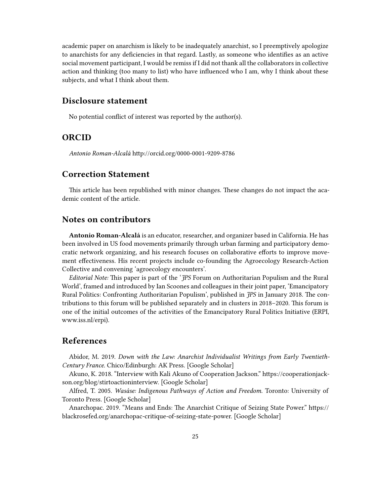academic paper on anarchism is likely to be inadequately anarchist, so I preemptively apologize to anarchists for any deficiencies in that regard. Lastly, as someone who identifies as an active social movement participant, I would be remiss if I did not thank all the collaborators in collective action and thinking (too many to list) who have influenced who I am, why I think about these subjects, and what I think about them.

# <span id="page-24-0"></span>**Disclosure statement**

No potential conflict of interest was reported by the author(s).

# <span id="page-24-1"></span>**ORCID**

*Antonio Roman-Alcalá* http://orcid.org/0000-0001-9209-8786

# <span id="page-24-2"></span>**Correction Statement**

This article has been republished with minor changes. These changes do not impact the academic content of the article.

## <span id="page-24-3"></span>**Notes on contributors**

**Antonio Roman-Alcalá** is an educator, researcher, and organizer based in California. He has been involved in US food movements primarily through urban farming and participatory democratic network organizing, and his research focuses on collaborative efforts to improve movement effectiveness. His recent projects include co-founding the Agroecology Research-Action Collective and convening 'agroecology encounters'.

*Editorial Note:* This paper is part of the '*JPS* Forum on Authoritarian Populism and the Rural World', framed and introduced by Ian Scoones and colleagues in their joint paper, 'Emancipatory Rural Politics: Confronting Authoritarian Populism', published in *JPS* in January 2018. The contributions to this forum will be published separately and in clusters in 2018–2020. This forum is one of the initial outcomes of the activities of the Emancipatory Rural Politics Initiative (ERPI, www.iss.nl/erpi).

# <span id="page-24-4"></span>**References**

Abidor, M. 2019. *Down with the Law: Anarchist Individualist Writings from Early Twentieth-Century France*. Chico/Edinburgh: AK Press. [Google Scholar]

Akuno, K. 2018. "Interview with Kali Akuno of Cooperation Jackson." https://cooperationjackson.org/blog/stirtoactioninterview. [Google Scholar]

Alfred, T. 2005. *Wasáse: Indigenous Pathways of Action and Freedom*. Toronto: University of Toronto Press. [Google Scholar]

Anarchopac. 2019. "Means and Ends: The Anarchist Critique of Seizing State Power." https:// blackrosefed.org/anarchopac-critique-of-seizing-state-power. [Google Scholar]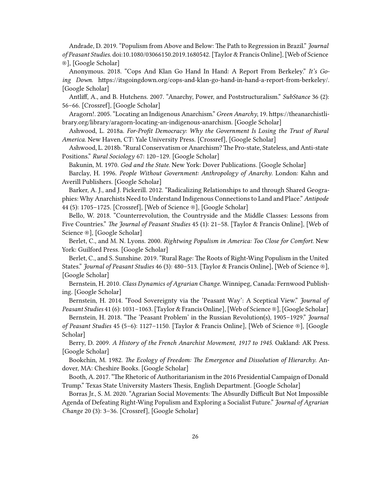Andrade, D. 2019. "Populism from Above and Below: The Path to Regression in Brazil." *Journal of Peasant Studies*. doi:10.1080/03066150.2019.1680542. [Taylor & Francis Online], [Web of Science ®], [Google Scholar]

Anonymous. 2018. "Cops And Klan Go Hand In Hand: A Report From Berkeley." *It's Going Down*. https://itsgoingdown.org/cops-and-klan-go-hand-in-hand-a-report-from-berkeley/. [Google Scholar]

Antliff, A., and B. Hutchens. 2007. "Anarchy, Power, and Poststructuralism." *SubStance* 36 (2): 56–66. [Crossref], [Google Scholar]

Aragorn!. 2005. "Locating an Indigenous Anarchism." *Green Anarchy*, 19. https://theanarchistlibrary.org/library/aragorn-locating-an-indigenous-anarchism. [Google Scholar]

Ashwood, L. 2018a. *For-Profit Democracy: Why the Government Is Losing the Trust of Rural America*. New Haven, CT: Yale University Press. [Crossref], [Google Scholar]

Ashwood, L. 2018b. "Rural Conservatism or Anarchism?The Pro-state, Stateless, and Anti-state Positions." *Rural Sociology* 67: 120–129. [Google Scholar]

Bakunin, M. 1970. *God and the State*. New York: Dover Publications. [Google Scholar]

Barclay, H. 1996. *People Without Government: Anthropology of Anarchy*. London: Kahn and Averill Publishers. [Google Scholar]

Barker, A. J., and J. Pickerill. 2012. "Radicalizing Relationships to and through Shared Geographies: Why Anarchists Need to Understand Indigenous Connections to Land and Place." *Antipode* 44 (5): 1705–1725. [Crossref], [Web of Science ®], [Google Scholar]

Bello, W. 2018. "Counterrevolution, the Countryside and the Middle Classes: Lessons from Five Countries." *The Journal of Peasant Studies* 45 (1): 21–58. [Taylor & Francis Online], [Web of Science ®], [Google Scholar]

Berlet, C., and M. N. Lyons. 2000. *Rightwing Populism in America: Too Close for Comfort*. New York: Guilford Press. [Google Scholar]

Berlet, C., and S. Sunshine. 2019. "Rural Rage: The Roots of Right-Wing Populism in the United States." *Journal of Peasant Studies* 46 (3): 480–513. [Taylor & Francis Online], [Web of Science ®], [Google Scholar]

Bernstein, H. 2010. *Class Dynamics of Agrarian Change*. Winnipeg, Canada: Fernwood Publishing. [Google Scholar]

Bernstein, H. 2014. "Food Sovereignty via the 'Peasant Way': A Sceptical View." *Journal of Peasant Studies* 41 (6): 1031–1063. [Taylor & Francis Online], [Web of Science ®], [Google Scholar]

Bernstein, H. 2018. "The 'Peasant Problem' in the Russian Revolution(s), 1905–1929." *Journal of Peasant Studies* 45 (5–6): 1127–1150. [Taylor & Francis Online], [Web of Science ®], [Google Scholar]

Berry, D. 2009. *A History of the French Anarchist Movement, 1917 to 1945*. Oakland: AK Press. [Google Scholar]

Bookchin, M. 1982. *The Ecology of Freedom: The Emergence and Dissolution of Hierarchy*. Andover, MA: Cheshire Books. [Google Scholar]

Booth, A. 2017. "The Rhetoric of Authoritarianism in the 2016 Presidential Campaign of Donald Trump." Texas State University Masters Thesis, English Department. [Google Scholar]

Borras Jr., S. M. 2020. "Agrarian Social Movements: The Absurdly Difficult But Not Impossible Agenda of Defeating Right-Wing Populism and Exploring a Socialist Future." *Journal of Agrarian Change* 20 (3): 3–36. [Crossref], [Google Scholar]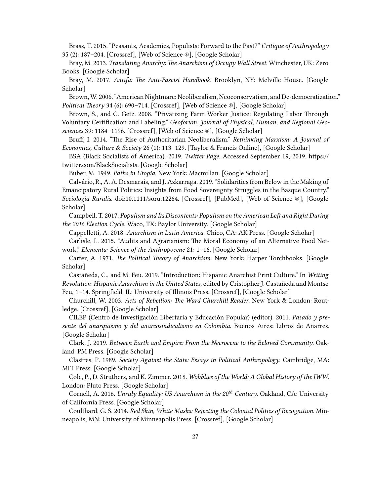Brass, T. 2015. "Peasants, Academics, Populists: Forward to the Past?" *Critique of Anthropology* 35 (2): 187–204. [Crossref], [Web of Science ®], [Google Scholar]

Bray, M. 2013. *Translating Anarchy: The Anarchism of Occupy Wall Street*. Winchester, UK: Zero Books. [Google Scholar]

Bray, M. 2017. *Antifa: The Anti-Fascist Handbook*. Brooklyn, NY: Melville House. [Google Scholar]

Brown, W. 2006. "American Nightmare: Neoliberalism, Neoconservatism, and De-democratization." *Political Theory* 34 (6): 690–714. [Crossref], [Web of Science ®], [Google Scholar]

Brown, S., and C. Getz. 2008. "Privatizing Farm Worker Justice: Regulating Labor Through Voluntary Certification and Labeling." *Geoforum; Journal of Physical, Human, and Regional Geosciences* 39: 1184–1196. [Crossref], [Web of Science ®], [Google Scholar]

Bruff, I. 2014. "The Rise of Authoritarian Neoliberalism." *Rethinking Marxism: A Journal of Economics, Culture & Society* 26 (1): 113–129. [Taylor & Francis Online], [Google Scholar]

BSA (Black Socialists of America). 2019. *Twitter Page*. Accessed September 19, 2019. https:// twitter.com/BlackSocialists. [Google Scholar]

Buber, M. 1949. *Paths in Utopia*. New York: Macmillan. [Google Scholar]

Calvário, R., A. A. Desmarais, and J. Azkarraga. 2019. "Solidarities from Below in the Making of Emancipatory Rural Politics: Insights from Food Sovereignty Struggles in the Basque Country." *Sociologia Ruralis*. doi:10.1111/soru.12264. [Crossref], [PubMed], [Web of Science ®], [Google Scholar]

Campbell, T. 2017. *Populism and Its Discontents: Populism on the American Left and Right During the 2016 Election Cycle*. Waco, TX: Baylor University. [Google Scholar]

Cappelletti, A. 2018. *Anarchism in Latin America*. Chico, CA: AK Press. [Google Scholar]

Carlisle, L. 2015. "Audits and Agrarianism: The Moral Economy of an Alternative Food Network." *Elementa: Science of the Anthropocene* 21: 1–16. [Google Scholar]

Carter, A. 1971. *The Political Theory of Anarchism*. New York: Harper Torchbooks. [Google Scholar]

Castañeda, C., and M. Feu. 2019. "Introduction: Hispanic Anarchist Print Culture." In *Writing Revolution: Hispanic Anarchism in the United States*, edited by Cristopher J. Castañeda and Montse Feu, 1–14. Springfield, IL: University of Illinois Press. [Crossref], [Google Scholar]

Churchill, W. 2003. *Acts of Rebellion: The Ward Churchill Reader*. New York & London: Routledge. [Crossref], [Google Scholar]

CILEP (Centro de Investigación Libertaria y Educación Popular) (editor). 2011. *Pasado y presente del anarquismo y del anarcosindicalismo en Colombia*. Buenos Aires: Libros de Anarres. [Google Scholar]

Clark, J. 2019. *Between Earth and Empire: From the Necrocene to the Beloved Community*. Oakland: PM Press. [Google Scholar]

Clastres, P. 1989. *Society Against the State: Essays in Political Anthropology*. Cambridge, MA: MIT Press. [Google Scholar]

Cole, P., D. Struthers, and K. Zimmer. 2018. *Wobblies of the World: A Global History of the IWW*. London: Pluto Press. [Google Scholar]

Cornell, A. 2016. *Unruly Equality: US Anarchism in the 20th Century*. Oakland, CA: University of California Press. [Google Scholar]

Coulthard, G. S. 2014. *Red Skin, White Masks: Rejecting the Colonial Politics of Recognition*. Minneapolis, MN: University of Minneapolis Press. [Crossref], [Google Scholar]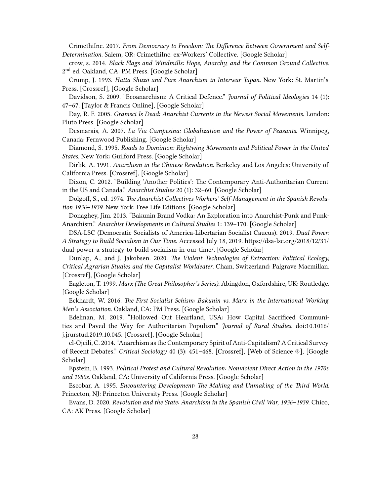CrimethiInc. 2017. *From Democracy to Freedom: The Difference Between Government and Self-Determination*. Salem, OR: CrimethiInc. ex-Workers' Collective. [Google Scholar]

crow, s. 2014. *Black Flags and Windmills: Hope, Anarchy, and the Common Ground Collective*. 2<sup>nd</sup> ed. Oakland, CA: PM Press. [Google Scholar]

Crump, J. 1993. *Hatta Shūzō and Pure Anarchism in Interwar Japan*. New York: St. Martin's Press. [Crossref], [Google Scholar]

Davidson, S. 2009. "Ecoanarchism: A Critical Defence." *Journal of Political Ideologies* 14 (1): 47–67. [Taylor & Francis Online], [Google Scholar]

Day, R. F. 2005. *Gramsci Is Dead: Anarchist Currents in the Newest Social Movements*. London: Pluto Press. [Google Scholar]

Desmarais, A. 2007. *La Via Campesina: Globalization and the Power of Peasants*. Winnipeg, Canada: Fernwood Publishing. [Google Scholar]

Diamond, S. 1995. *Roads to Dominion: Rightwing Movements and Political Power in the United States*. New York: Guilford Press. [Google Scholar]

Dirlik, A. 1991. *Anarchism in the Chinese Revolution*. Berkeley and Los Angeles: University of California Press. [Crossref], [Google Scholar]

Dixon, C. 2012. "Building 'Another Politics': The Contemporary Anti-Authoritarian Current in the US and Canada." *Anarchist Studies* 20 (1): 32–60. [Google Scholar]

Dolgoff, S., ed. 1974. *The Anarchist Collectives Workers' Self-Management in the Spanish Revolution 1936–1939*. New York: Free Life Editions. [Google Scholar]

Donaghey, Jim. 2013. "Bakunin Brand Vodka: An Exploration into Anarchist-Punk and Punk-Anarchism." *Anarchist Developments in Cultural Studies* 1: 139–170. [Google Scholar]

DSA-LSC (Democratic Socialists of America-Libertarian Socialist Caucus). 2019. *Dual Power: A Strategy to Build Socialism in Our Time*. Accessed July 18, 2019. https://dsa-lsc.org/2018/12/31/ dual-power-a-strategy-to-build-socialism-in-our-time/. [Google Scholar]

Dunlap, A., and J. Jakobsen. 2020. *The Violent Technologies of Extraction: Political Ecology, Critical Agrarian Studies and the Capitalist Worldeater*. Cham, Switzerland: Palgrave Macmillan. [Crossref], [Google Scholar]

Eagleton, T. 1999. *Marx (The Great Philosopher's Series)*. Abingdon, Oxfordshire, UK: Routledge. [Google Scholar]

Eckhardt, W. 2016. *The First Socialist Schism: Bakunin vs. Marx in the International Working Men's Association*. Oakland, CA: PM Press. [Google Scholar]

Edelman, M. 2019. "Hollowed Out Heartland, USA: How Capital Sacrificed Communities and Paved the Way for Authoritarian Populism." *Journal of Rural Studies*. doi:10.1016/ j.jrurstud.2019.10.045. [Crossref], [Google Scholar]

el-Ojeili, C. 2014. "Anarchism as the Contemporary Spirit of Anti-Capitalism? A Critical Survey of Recent Debates." *Critical Sociology* 40 (3): 451–468. [Crossref], [Web of Science ®], [Google Scholar]

Epstein, B. 1993. *Political Protest and Cultural Revolution: Nonviolent Direct Action in the 1970s and 1980s*. Oakland, CA: University of California Press. [Google Scholar]

Escobar, A. 1995. *Encountering Development: The Making and Unmaking of the Third World*. Princeton, NJ: Princeton University Press. [Google Scholar]

Evans, D. 2020. *Revolution and the State: Anarchism in the Spanish Civil War, 1936–1939*. Chico, CA: AK Press. [Google Scholar]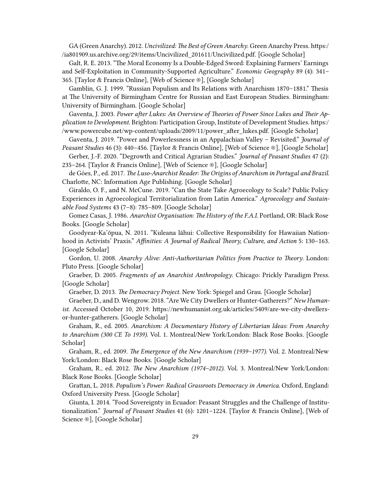GA (Green Anarchy). 2012. *Uncivilized: The Best of Green Anarchy*. Green Anarchy Press. https:/ /ia801909.us.archive.org/29/items/Uncivilized\_201611/Uncivilized.pdf. [Google Scholar]

Galt, R. E. 2013. "The Moral Economy Is a Double-Edged Sword: Explaining Farmers' Earnings and Self-Exploitation in Community-Supported Agriculture." *Economic Geography* 89 (4): 341– 365. [Taylor & Francis Online], [Web of Science ®], [Google Scholar]

Gamblin, G. J. 1999. "Russian Populism and Its Relations with Anarchism 1870–1881." Thesis at The University of Birmingham Centre for Russian and East European Studies. Birmingham: University of Birmingham. [Google Scholar]

Gaventa, J. 2003. *Power after Lukes: An Overview of Theories of Power Since Lukes and Their Application to Development*. Brighton: Participation Group, Institute of Development Studies. https:/ /www.powercube.net/wp-content/uploads/2009/11/power\_after\_lukes.pdf. [Google Scholar]

Gaventa, J. 2019. "Power and Powerlessness in an Appalachian Valley – Revisited." *Journal of Peasant Studies* 46 (3): 440–456. [Taylor & Francis Online], [Web of Science ®], [Google Scholar]

Gerber, J.-F. 2020. "Degrowth and Critical Agrarian Studies." *Journal of Peasant Studies* 47 (2): 235–264. [Taylor & Francis Online], [Web of Science ®], [Google Scholar]

de Góes, P., ed. 2017. *The Luso-Anarchist Reader: The Origins of Anarchism in Portugal and Brazil*. Charlotte, NC: Information Age Publishing. [Google Scholar]

Giraldo, O. F., and N. McCune. 2019. "Can the State Take Agroecology to Scale? Public Policy Experiences in Agroecological Territorialization from Latin America." *Agroecology and Sustainable Food Systems* 43 (7–8): 785–809. [Google Scholar]

Gomez Casas, J. 1986. *Anarchist Organisation: The History of the F.A.I*. Portland, OR: Black Rose Books. [Google Scholar]

Goodyear-Ka'ōpua, N. 2011. "Kuleana lāhui: Collective Responsibility for Hawaiian Nationhood in Activists' Praxis." *Affinities: A Journal of Radical Theory, Culture, and Action* 5: 130–163. [Google Scholar]

Gordon, U. 2008. *Anarchy Alive: Anti-Authoritarian Politics from Practice to Theory*. London: Pluto Press. [Google Scholar]

Graeber, D. 2005. *Fragments of an Anarchist Anthropology*. Chicago: Prickly Paradigm Press. [Google Scholar]

Graeber, D. 2013. *The Democracy Project*. New York: Spiegel and Grau. [Google Scholar]

Graeber, D., and D. Wengrow. 2018. "Are We City Dwellers or Hunter-Gatherers?" *New Humanist*. Accessed October 10, 2019. https://newhumanist.org.uk/articles/5409/are-we-city-dwellersor-hunter-gatherers. [Google Scholar]

Graham, R., ed. 2005. *Anarchism: A Documentary History of Libertarian Ideas: From Anarchy to Anarchism (300 CE To 1939)*. Vol. 1. Montreal/New York/London: Black Rose Books. [Google Scholar]

Graham, R., ed. 2009. *The Emergence of the New Anarchism (1939–1977)*. Vol. 2. Montreal/New York/London: Black Rose Books. [Google Scholar]

Graham, R., ed. 2012. *The New Anarchism (1974–2012)*. Vol. 3. Montreal/New York/London: Black Rose Books. [Google Scholar]

Grattan, L. 2018. *Populism's Power: Radical Grassroots Democracy in America*. Oxford, England: Oxford University Press. [Google Scholar]

Giunta, I. 2014. "Food Sovereignty in Ecuador: Peasant Struggles and the Challenge of Institutionalization." *Journal of Peasant Studies* 41 (6): 1201–1224. [Taylor & Francis Online], [Web of Science ®], [Google Scholar]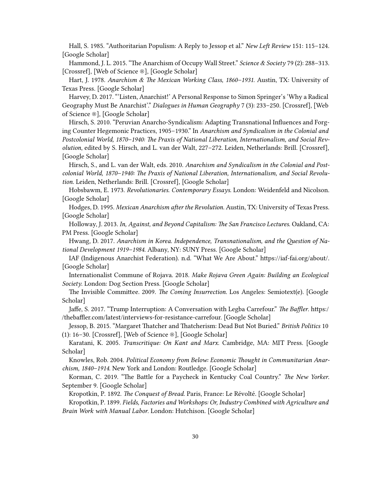Hall, S. 1985. "Authoritarian Populism: A Reply to Jessop et al." *New Left Review* 151: 115–124. [Google Scholar]

Hammond, J. L. 2015. "The Anarchism of Occupy Wall Street." *Science & Society* 79 (2): 288–313. [Crossref], [Web of Science ®], [Google Scholar]

Hart, J. 1978. *Anarchism & The Mexican Working Class, 1860–1931*. Austin, TX: University of Texas Press. [Google Scholar]

Harvey, D. 2017. "'Listen, Anarchist!' A Personal Response to Simon Springer's 'Why a Radical Geography Must Be Anarchist'." *Dialogues in Human Geography* 7 (3): 233–250. [Crossref], [Web of Science ®], [Google Scholar]

Hirsch, S. 2010. "Peruvian Anarcho-Syndicalism: Adapting Transnational Influences and Forging Counter Hegemonic Practices, 1905–1930." In *Anarchism and Syndicalism in the Colonial and Postcolonial World, 1870–1940: The Praxis of National Liberation, Internationalism, and Social Revolution*, edited by S. Hirsch, and L. van der Walt, 227–272. Leiden, Netherlands: Brill. [Crossref], [Google Scholar]

Hirsch, S., and L. van der Walt, eds. 2010. *Anarchism and Syndicalism in the Colonial and Postcolonial World, 1870–1940: The Praxis of National Liberation, Internationalism, and Social Revolution*. Leiden, Netherlands: Brill. [Crossref], [Google Scholar]

Hobsbawm, E. 1973. *Revolutionaries. Contemporary Essays*. London: Weidenfeld and Nicolson. [Google Scholar]

Hodges, D. 1995. *Mexican Anarchism after the Revolution*. Austin, TX: University of Texas Press. [Google Scholar]

Holloway, J. 2013. *In, Against, and Beyond Capitalism: The San Francisco Lectures*. Oakland, CA: PM Press. [Google Scholar]

Hwang, D. 2017. *Anarchism in Korea. Independence, Transnationalism, and the Question of National Development 1919–1984*. Albany, NY: SUNY Press. [Google Scholar]

IAF (Indigenous Anarchist Federation). n.d. "What We Are About." https://iaf-fai.org/about/. [Google Scholar]

Internationalist Commune of Rojava. 2018. *Make Rojava Green Again: Building an Ecological Society*. London: Dog Section Press. [Google Scholar]

The Invisible Committee. 2009. *The Coming Insurrection*. Los Angeles: Semiotext(e). [Google Scholar]

Jaffe, S. 2017. "Trump Interruption: A Conversation with Legba Carrefour." *The Baffler*. https:/ /thebaffler.com/latest/interviews-for-resistance-carrefour. [Google Scholar]

Jessop, B. 2015. "Margaret Thatcher and Thatcherism: Dead But Not Buried." *British Politics* 10 (1): 16–30. [Crossref], [Web of Science ®], [Google Scholar]

Karatani, K. 2005. *Transcritique: On Kant and Marx*. Cambridge, MA: MIT Press. [Google Scholar]

Knowles, Rob. 2004. *Political Economy from Below: Economic Thought in Communitarian Anarchism, 1840–1914*. New York and London: Routledge. [Google Scholar]

Korman, C. 2019. "The Battle for a Paycheck in Kentucky Coal Country." *The New Yorker*. September 9. [Google Scholar]

Kropotkin, P. 1892. *The Conquest of Bread*. Paris, France: Le Révolté. [Google Scholar]

Kropotkin, P. 1899. *Fields, Factories and Workshops: Or, Industry Combined with Agriculture and Brain Work with Manual Labor*. London: Hutchison. [Google Scholar]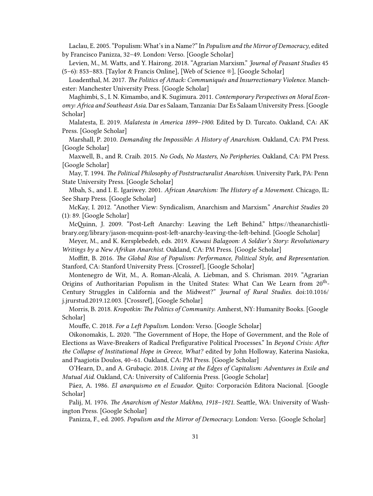Laclau, E. 2005. "Populism: What's in a Name?" In *Populism and the Mirror of Democracy*, edited by Francisco Panizza, 32–49. London: Verso. [Google Scholar]

Levien, M., M. Watts, and Y. Hairong. 2018. "Agrarian Marxism." *Journal of Peasant Studies* 45 (5–6): 853–883. [Taylor & Francis Online], [Web of Science ®], [Google Scholar]

Loadenthal, M. 2017. *The Politics of Attack: Communiqués and Insurrectionary Violence*. Manchester: Manchester University Press. [Google Scholar]

Maghimbi, S., I. N. Kimambo, and K. Sugimura. 2011. *Contemporary Perspectives on Moral Economy: Africa and Southeast Asia*. Dar es Salaam, Tanzania: Dar Es Salaam University Press. [Google Scholar]

Malatesta, E. 2019. *Malatesta in America 1899–1900*. Edited by D. Turcato. Oakland, CA: AK Press. [Google Scholar]

Marshall, P. 2010. *Demanding the Impossible: A History of Anarchism*. Oakland, CA: PM Press. [Google Scholar]

Maxwell, B., and R. Craib. 2015. *No Gods, No Masters, No Peripheries*. Oakland, CA: PM Press. [Google Scholar]

May, T. 1994. *The Political Philosophy of Poststructuralist Anarchism*. University Park, PA: Penn State University Press. [Google Scholar]

Mbah, S., and I. E. Igariwey. 2001. *African Anarchism: The History of a Movement*. Chicago, IL: See Sharp Press. [Google Scholar]

McKay, I. 2012. "Another View: Syndicalism, Anarchism and Marxism." *Anarchist Studies* 20 (1): 89. [Google Scholar]

McQuinn, J. 2009. "Post-Left Anarchy: Leaving the Left Behind." https://theanarchistlibrary.org/library/jason-mcquinn-post-left-anarchy-leaving-the-left-behind. [Google Scholar]

Meyer, M., and K. Kersplebedeb, eds. 2019. *Kuwasi Balagoon: A Soldier's Story: Revolutionary Writings by a New Afrikan Anarchist*. Oakland, CA: PM Press. [Google Scholar]

Moffitt, B. 2016. *The Global Rise of Populism: Performance, Political Style, and Representation*. Stanford, CA: Stanford University Press. [Crossref], [Google Scholar]

Montenegro de Wit, M., A. Roman-Alcalá, A. Liebman, and S. Chrisman. 2019. "Agrarian Origins of Authoritarian Populism in the United States: What Can We Learn from 20<sup>th</sup>-Century Struggles in California and the Midwest?" *Journal of Rural Studies*. doi:10.1016/ j.jrurstud.2019.12.003. [Crossref], [Google Scholar]

Morris, B. 2018. *Kropotkin: The Politics of Community*. Amherst, NY: Humanity Books. [Google Scholar]

Mouffe, C. 2018. *For a Left Populism*. London: Verso. [Google Scholar]

Oikonomakis, L. 2020. "The Government of Hope, the Hope of Government, and the Role of Elections as Wave-Breakers of Radical Prefigurative Political Processes." In *Beyond Crisis: After the Collapse of Institutional Hope in Greece, What?* edited by John Holloway, Katerina Nasioka, and Paagiotis Doulos, 40–61. Oakland, CA: PM Press. [Google Scholar]

O'Hearn, D., and A. Grubaçic. 2018. *Living at the Edges of Capitalism: Adventures in Exile and Mutual Aid*. Oakland, CA: University of California Press. [Google Scholar]

Páez, A. 1986. *El anarquismo en el Ecuador*. Quito: Corporación Editora Nacional. [Google Scholar]

Palij, M. 1976. *The Anarchism of Nestor Makhno, 1918–1921*. Seattle, WA: University of Washington Press. [Google Scholar]

Panizza, F., ed. 2005. *Populism and the Mirror of Democracy*. London: Verso. [Google Scholar]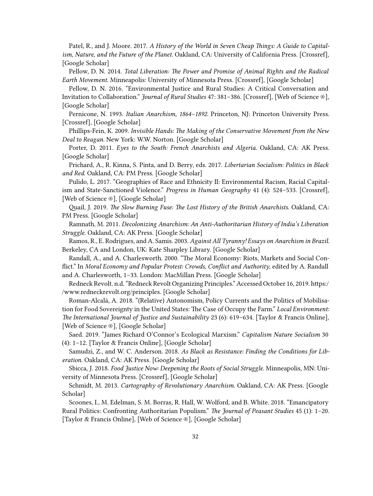Patel, R., and J. Moore. 2017. *A History of the World in Seven Cheap Things: A Guide to Capitalism, Nature, and the Future of the Planet*. Oakland, CA: University of California Press. [Crossref], [Google Scholar]

Pellow, D. N. 2014. *Total Liberation: The Power and Promise of Animal Rights and the Radical Earth Movement*. Minneapolis: University of Minnesota Press. [Crossref], [Google Scholar]

Pellow, D. N. 2016. "Environmental Justice and Rural Studies: A Critical Conversation and Invitation to Collaboration." *Journal of Rural Studies* 47: 381–386. [Crossref], [Web of Science ®], [Google Scholar]

Pernicone, N. 1993. *Italian Anarchism, 1864–1892*. Princeton, NJ: Princeton University Press. [Crossref], [Google Scholar]

Phillips-Fein, K. 2009. *Invisible Hands: The Making of the Conservative Movement from the New Deal to Reagan*. New York: W.W. Norton. [Google Scholar]

Porter, D. 2011. *Eyes to the South: French Anarchists and Algeria*. Oakland, CA: AK Press. [Google Scholar]

Prichard, A., R. Kinna, S. Pinta, and D. Berry, eds. 2017. *Libertarian Socialism: Politics in Black and Red*. Oakland, CA: PM Press. [Google Scholar]

Pulido, L. 2017. "Geographies of Race and Ethnicity II: Environmental Racism, Racial Capitalism and State-Sanctioned Violence." *Progress in Human Geography* 41 (4): 524–533. [Crossref], [Web of Science ®], [Google Scholar]

Quail, J. 2019. *The Slow Burning Fuse: The Lost History of the British Anarchists*. Oakland, CA: PM Press. [Google Scholar]

Ramnath, M. 2011. *Decolonizing Anarchism: An Anti-Authoritarian History of India's Liberation Struggle*. Oakland, CA: AK Press. [Google Scholar]

Ramos, R., E. Rodrigues, and A. Samis. 2003. *Against All Tyranny! Essays on Anarchism in Brazil*. Berkeley, CA and London, UK: Kate Sharpley Library. [Google Scholar]

Randall, A., and A. Charlesworth. 2000. "The Moral Economy: Riots, Markets and Social Conflict." In *Moral Economy and Popular Protest: Crowds, Conflict and Authority*, edited by A. Randall and A. Charlesworth, 1–33. London: MacMillan Press. [Google Scholar]

Redneck Revolt. n.d. "Redneck Revolt Organizing Principles." Accessed October 16, 2019. https:/ /www.redneckrevolt.org/principles. [Google Scholar]

Roman-Alcalá, A. 2018. "(Relative) Autonomism, Policy Currents and the Politics of Mobilisation for Food Sovereignty in the United States: The Case of Occupy the Farm." *Local Environment: The International Journal of Justice and Sustainability* 23 (6): 619–634. [Taylor & Francis Online], [Web of Science ®], [Google Scholar]

Saed. 2019. "James Richard O'Connor's Ecological Marxism." *Capitalism Nature Socialism* 30 (4): 1–12. [Taylor & Francis Online], [Google Scholar]

Samudzi, Z., and W. C. Anderson. 2018. *As Black as Resistance: Finding the Conditions for Liberation*. Oakland, CA: AK Press. [Google Scholar]

Sbicca, J. 2018. *Food Justice Now: Deepening the Roots of Social Struggle*. Minneapolis, MN: University of Minnesota Press. [Crossref], [Google Scholar]

Schmidt, M. 2013. *Cartography of Revolutionary Anarchism*. Oakland, CA: AK Press. [Google Scholar]

Scoones, I., M. Edelman, S. M. Borras, R. Hall, W. Wolford, and B. White. 2018. "Emancipatory Rural Politics: Confronting Authoritarian Populism." *The Journal of Peasant Studies* 45 (1): 1–20. [Taylor & Francis Online], [Web of Science ®], [Google Scholar]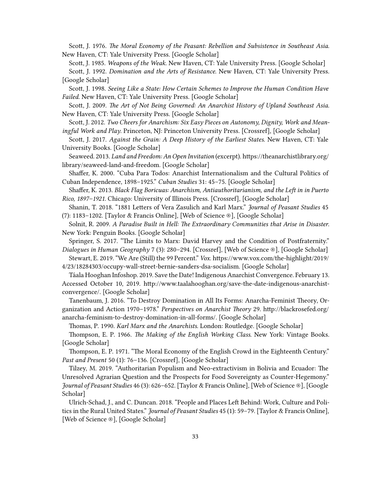Scott, J. 1976. *The Moral Economy of the Peasant: Rebellion and Subsistence in Southeast Asia*. New Haven, CT: Yale University Press. [Google Scholar]

Scott, J. 1985. *Weapons of the Weak*. New Haven, CT: Yale University Press. [Google Scholar]

Scott, J. 1992. *Domination and the Arts of Resistance*. New Haven, CT: Yale University Press. [Google Scholar]

Scott, J. 1998. *Seeing Like a State: How Certain Schemes to Improve the Human Condition Have Failed*. New Haven, CT: Yale University Press. [Google Scholar]

Scott, J. 2009. *The Art of Not Being Governed: An Anarchist History of Upland Southeast Asia*. New Haven, CT: Yale University Press. [Google Scholar]

Scott, J. 2012. *Two Cheers for Anarchism: Six Easy Pieces on Autonomy, Dignity, Work and Meaningful Work and Play*. Princeton, NJ: Princeton University Press. [Crossref], [Google Scholar]

Scott, J. 2017. *Against the Grain: A Deep History of the Earliest States*. New Haven, CT: Yale University Books. [Google Scholar]

Seaweed. 2013. *Land and Freedom: An Open Invitation* (excerpt). https://theanarchistlibrary.org/ library/seaweed-land-and-freedom. [Google Scholar]

Shaffer, K. 2000. "Cuba Para Todos: Anarchist Internationalism and the Cultural Politics of Cuban Independence, 1898–1925." *Cuban Studies* 31: 45–75. [Google Scholar]

Shaffer, K. 2013. *Black Flag Boricuas: Anarchism, Antiauthoritarianism, and the Left in in Puerto Rico, 1897–1921*. Chicago: University of Illinois Press. [Crossref], [Google Scholar]

Shanin, T. 2018. "1881 Letters of Vera Zasulich and Karl Marx." *Journal of Peasant Studies* 45 (7): 1183–1202. [Taylor & Francis Online], [Web of Science ®], [Google Scholar]

Solnit, R. 2009. *A Paradise Built in Hell: The Extraordinary Communities that Arise in Disaster*. New York: Penguin Books. [Google Scholar]

Springer, S. 2017. "The Limits to Marx: David Harvey and the Condition of Postfraternity." *Dialogues in Human Geography* 7 (3): 280–294. [Crossref], [Web of Science ®], [Google Scholar]

Stewart, E. 2019. "We Are (Still) the 99 Percent." *Vox*. https://www.vox.com/the-highlight/2019/ 4/23/18284303/occupy-wall-street-bernie-sanders-dsa-socialism. [Google Scholar]

Táala Hooghan Infoshop. 2019. Save the Date! Indigenous Anarchist Convergence. February 13. Accessed October 10, 2019. http://www.taalahooghan.org/save-the-date-indigenous-anarchistconvergence/. [Google Scholar]

Tanenbaum, J. 2016. "To Destroy Domination in All Its Forms: Anarcha-Feminist Theory, Organization and Action 1970–1978." *Perspectives on Anarchist Theory* 29. http://blackrosefed.org/ anarcha-feminism-to-destroy-domination-in-all-forms/. [Google Scholar]

Thomas, P. 1990. *Karl Marx and the Anarchists*. London: Routledge. [Google Scholar]

Thompson, E. P. 1966. *The Making of the English Working Class*. New York: Vintage Books. [Google Scholar]

Thompson, E. P. 1971. "The Moral Economy of the English Crowd in the Eighteenth Century." *Past and Present* 50 (1): 76–136. [Crossref], [Google Scholar]

Tilzey, M. 2019. "Authoritarian Populism and Neo-extractivism in Bolivia and Ecuador: The Unresolved Agrarian Question and the Prospects for Food Sovereignty as Counter-Hegemony." *Journal of Peasant Studies* 46 (3): 626–652. [Taylor & Francis Online], [Web of Science ®], [Google Scholar]

Ulrich-Schad, J., and C. Duncan. 2018. "People and Places Left Behind: Work, Culture and Politics in the Rural United States." *Journal of Peasant Studies* 45 (1): 59–79. [Taylor & Francis Online], [Web of Science ®], [Google Scholar]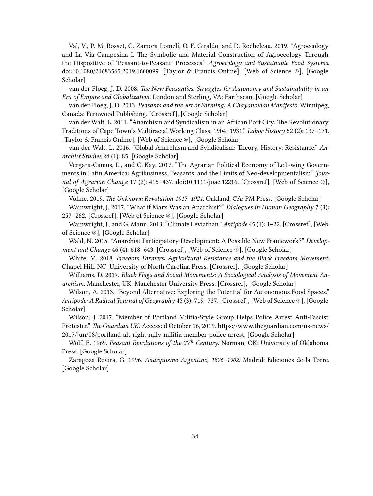Val, V., P. M. Rosset, C. Zamora Lomelí, O. F. Giraldo, and D. Rocheleau. 2019. "Agroecology and La Via Campesina I. The Symbolic and Material Construction of Agroecology Through the Dispositive of 'Peasant-to-Peasant' Processes." *Agroecology and Sustainable Food Systems*. doi:10.1080/21683565.2019.1600099. [Taylor & Francis Online], [Web of Science ®], [Google Scholar]

van der Ploeg, J. D. 2008. *The New Peasanties. Struggles for Autonomy and Sustainability in an Era of Empire and Globalization*. London and Sterling, VA: Earthscan. [Google Scholar]

van der Ploeg, J. D. 2013. *Peasants and the Art of Farming: A Chayanovian Manifesto*. Winnipeg, Canada: Fernwood Publishing. [Crossref], [Google Scholar]

van der Walt, L. 2011. "Anarchism and Syndicalism in an African Port City: The Revolutionary Traditions of Cape Town's Multiracial Working Class, 1904–1931." *Labor History* 52 (2): 137–171. [Taylor & Francis Online], [Web of Science ®], [Google Scholar]

van der Walt, L. 2016. "Global Anarchism and Syndicalism: Theory, History, Resistance." *Anarchist Studies* 24 (1): 85. [Google Scholar]

Vergara-Camus, L., and C. Kay. 2017. "The Agrarian Political Economy of Left-wing Governments in Latin America: Agribusiness, Peasants, and the Limits of Neo-developmentalism." *Journal of Agrarian Change* 17 (2): 415–437. doi:10.1111/joac.12216. [Crossref], [Web of Science ®], [Google Scholar]

Voline. 2019. *The Unknown Revolution 1917–1921*. Oakland, CA: PM Press. [Google Scholar]

Wainwright, J. 2017. "What if Marx Was an Anarchist?" *Dialogues in Human Geography* 7 (3): 257–262. [Crossref], [Web of Science ®], [Google Scholar]

Wainwright, J., and G. Mann. 2013. "Climate Leviathan." *Antipode* 45 (1): 1–22. [Crossref], [Web of Science ®], [Google Scholar]

Wald, N. 2015. "Anarchist Participatory Development: A Possible New Framework?" *Development and Change* 46 (4): 618–643. [Crossref], [Web of Science ®], [Google Scholar]

White, M. 2018. *Freedom Farmers: Agricultural Resistance and the Black Freedom Movement*. Chapel Hill, NC: University of North Carolina Press. [Crossref], [Google Scholar]

Williams, D. 2017. *Black Flags and Social Movements: A Sociological Analysis of Movement Anarchism*. Manchester, UK: Manchester University Press. [Crossref], [Google Scholar]

Wilson, A. 2013. "Beyond Alternative: Exploring the Potential for Autonomous Food Spaces." *Antipode: A Radical Journal of Geography* 45 (3): 719–737. [Crossref], [Web of Science ®], [Google Scholar]

Wilson, J. 2017. "Member of Portland Militia-Style Group Helps Police Arrest Anti-Fascist Protester." *The Guardian UK*. Accessed October 16, 2019. https://www.theguardian.com/us-news/ 2017/jun/08/portland-alt-right-rally-militia-member-police-arrest. [Google Scholar]

Wolf, E. 1969. *Peasant Revolutions of the 20th Century*. Norman, OK: University of Oklahoma Press. [Google Scholar]

Zaragoza Rovira, G. 1996. *Anarquismo Argentino, 1876–1902*. Madrid: Ediciones de la Torre. [Google Scholar]